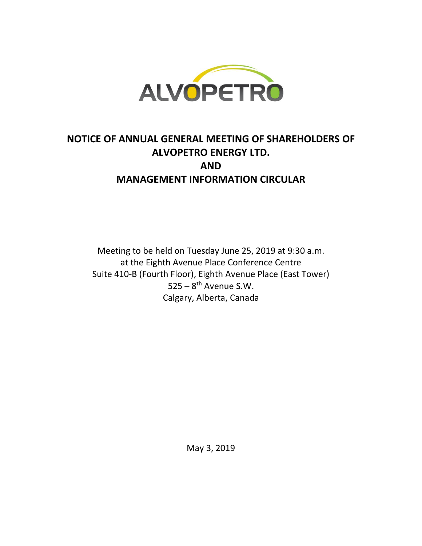

# **NOTICE OF ANNUAL GENERAL MEETING OF SHAREHOLDERS OF ALVOPETRO ENERGY LTD. AND MANAGEMENT INFORMATION CIRCULAR**

Meeting to be held on Tuesday June 25, 2019 at 9:30 a.m. at the Eighth Avenue Place Conference Centre Suite 410-B (Fourth Floor), Eighth Avenue Place (East Tower)  $525 - 8$ <sup>th</sup> Avenue S.W. Calgary, Alberta, Canada

May 3, 2019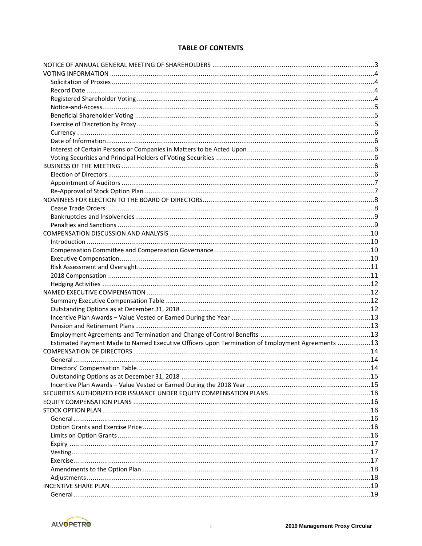# **TABLE OF CONTENTS**

| Estimated Payment Made to Named Executive Officers upon Termination of Employment Agreements 13 |  |
|-------------------------------------------------------------------------------------------------|--|
|                                                                                                 |  |
|                                                                                                 |  |
| Directors' Compensation Table                                                                   |  |
|                                                                                                 |  |
|                                                                                                 |  |
|                                                                                                 |  |
|                                                                                                 |  |
|                                                                                                 |  |
|                                                                                                 |  |
|                                                                                                 |  |
|                                                                                                 |  |
|                                                                                                 |  |
|                                                                                                 |  |
|                                                                                                 |  |
|                                                                                                 |  |
|                                                                                                 |  |
|                                                                                                 |  |
|                                                                                                 |  |
|                                                                                                 |  |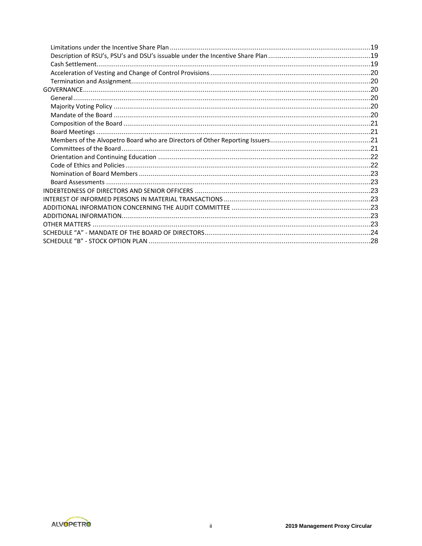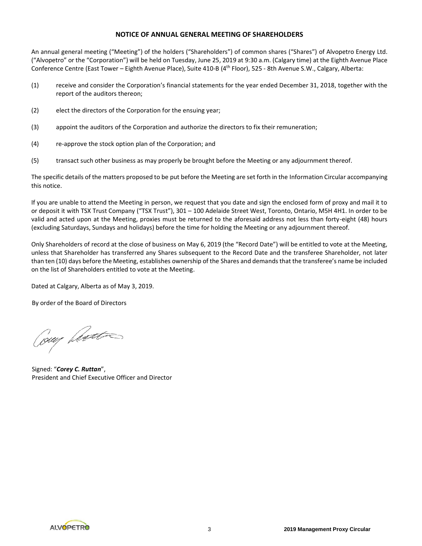### **NOTICE OF ANNUAL GENERAL MEETING OF SHAREHOLDERS**

An annual general meeting ("Meeting") of the holders ("Shareholders") of common shares ("Shares") of Alvopetro Energy Ltd. ("Alvopetro" or the "Corporation") will be held on Tuesday, June 25, 2019 at 9:30 a.m. (Calgary time) at the Eighth Avenue Place Conference Centre (East Tower – Eighth Avenue Place), Suite 410-B (4<sup>th</sup> Floor), 525 - 8th Avenue S.W., Calgary, Alberta:

- (1) receive and consider the Corporation's financial statements for the year ended December 31, 2018, together with the report of the auditors thereon;
- (2) elect the directors of the Corporation for the ensuing year;
- (3) appoint the auditors of the Corporation and authorize the directors to fix their remuneration;
- (4) re-approve the stock option plan of the Corporation; and
- (5) transact such other business as may properly be brought before the Meeting or any adjournment thereof.

The specific details of the matters proposed to be put before the Meeting are set forth in the Information Circular accompanying this notice.

If you are unable to attend the Meeting in person, we request that you date and sign the enclosed form of proxy and mail it to or deposit it with TSX Trust Company ("TSX Trust"), 301 – 100 Adelaide Street West, Toronto, Ontario, M5H 4H1. In order to be valid and acted upon at the Meeting, proxies must be returned to the aforesaid address not less than forty-eight (48) hours (excluding Saturdays, Sundays and holidays) before the time for holding the Meeting or any adjournment thereof.

Only Shareholders of record at the close of business on May 6, 2019 (the "Record Date") will be entitled to vote at the Meeting, unless that Shareholder has transferred any Shares subsequent to the Record Date and the transferee Shareholder, not later than ten (10) days before the Meeting, establishes ownership of the Shares and demands that the transferee's name be included on the list of Shareholders entitled to vote at the Meeting.

Dated at Calgary, Alberta as of May 3, 2019.

By order of the Board of Directors

Coup Leat

Signed: "*Corey C. Ruttan*", President and Chief Executive Officer and Director

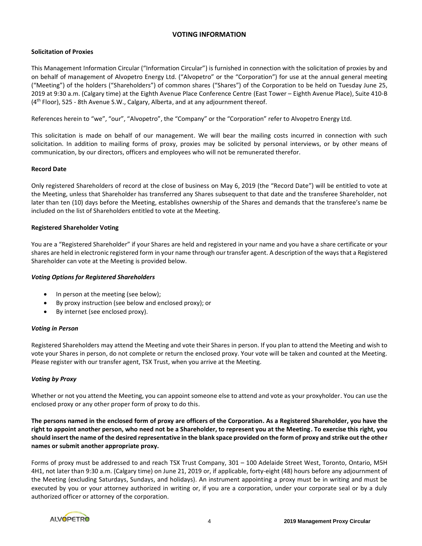# **VOTING INFORMATION**

# **Solicitation of Proxies**

This Management Information Circular ("Information Circular") is furnished in connection with the solicitation of proxies by and on behalf of management of Alvopetro Energy Ltd. ("Alvopetro" or the "Corporation") for use at the annual general meeting ("Meeting") of the holders ("Shareholders") of common shares ("Shares") of the Corporation to be held on Tuesday June 25, 2019 at 9:30 a.m. (Calgary time) at the Eighth Avenue Place Conference Centre (East Tower – Eighth Avenue Place), Suite 410-B (4th Floor), 525 - 8th Avenue S.W., Calgary, Alberta, and at any adjournment thereof.

References herein to "we", "our", "Alvopetro", the "Company" or the "Corporation" refer to Alvopetro Energy Ltd.

This solicitation is made on behalf of our management. We will bear the mailing costs incurred in connection with such solicitation. In addition to mailing forms of proxy, proxies may be solicited by personal interviews, or by other means of communication, by our directors, officers and employees who will not be remunerated therefor.

# **Record Date**

Only registered Shareholders of record at the close of business on May 6, 2019 (the "Record Date") will be entitled to vote at the Meeting, unless that Shareholder has transferred any Shares subsequent to that date and the transferee Shareholder, not later than ten (10) days before the Meeting, establishes ownership of the Shares and demands that the transferee's name be included on the list of Shareholders entitled to vote at the Meeting.

# **Registered Shareholder Voting**

You are a "Registered Shareholder" if your Shares are held and registered in your name and you have a share certificate or your shares are held in electronic registered form in your name through our transfer agent. A description of the ways that a Registered Shareholder can vote at the Meeting is provided below.

### *Voting Options for Registered Shareholders*

- In person at the meeting (see below);
- By proxy instruction (see below and enclosed proxy); or
- By internet (see enclosed proxy).

### *Voting in Person*

Registered Shareholders may attend the Meeting and vote their Shares in person. If you plan to attend the Meeting and wish to vote your Shares in person, do not complete or return the enclosed proxy. Your vote will be taken and counted at the Meeting. Please register with our transfer agent, TSX Trust, when you arrive at the Meeting.

### *Voting by Proxy*

Whether or not you attend the Meeting, you can appoint someone else to attend and vote as your proxyholder. You can use the enclosed proxy or any other proper form of proxy to do this.

**The persons named in the enclosed form of proxy are officers of the Corporation. As a Registered Shareholder, you have the right to appoint another person, who need not be a Shareholder, to represent you at the Meeting. To exercise this right, you should insert the name of the desired representative in the blank space provided on the form of proxy and strike out the other names or submit another appropriate proxy.**

Forms of proxy must be addressed to and reach TSX Trust Company, 301 – 100 Adelaide Street West, Toronto, Ontario, M5H 4H1, not later than 9:30 a.m. (Calgary time) on June 21, 2019 or, if applicable, forty-eight (48) hours before any adjournment of the Meeting (excluding Saturdays, Sundays, and holidays). An instrument appointing a proxy must be in writing and must be executed by you or your attorney authorized in writing or, if you are a corporation, under your corporate seal or by a duly authorized officer or attorney of the corporation.

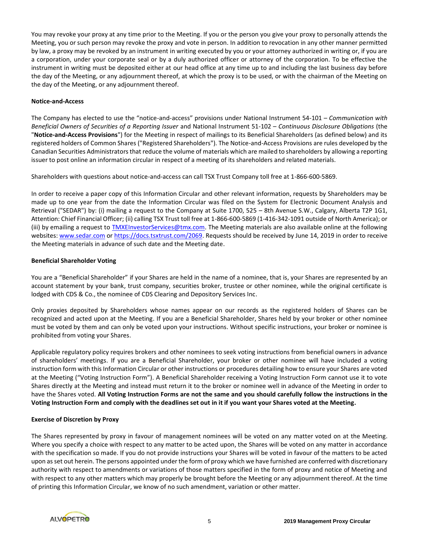You may revoke your proxy at any time prior to the Meeting. If you or the person you give your proxy to personally attends the Meeting, you or such person may revoke the proxy and vote in person. In addition to revocation in any other manner permitted by law, a proxy may be revoked by an instrument in writing executed by you or your attorney authorized in writing or, if you are a corporation, under your corporate seal or by a duly authorized officer or attorney of the corporation. To be effective the instrument in writing must be deposited either at our head office at any time up to and including the last business day before the day of the Meeting, or any adjournment thereof, at which the proxy is to be used, or with the chairman of the Meeting on the day of the Meeting, or any adjournment thereof.

# **Notice-and-Access**

The Company has elected to use the "notice-and-access" provisions under National Instrument 54-101 – *Communication with Beneficial Owners of Securities of a Reporting Issuer* and National Instrument 51-102 – *Continuous Disclosure Obligations* (the "**Notice-and-Access Provisions**") for the Meeting in respect of mailings to its Beneficial Shareholders (as defined below) and its registered holders of Common Shares ("Registered Shareholders"). The Notice-and-Access Provisions are rules developed by the Canadian Securities Administrators that reduce the volume of materials which are mailed to shareholders by allowing a reporting issuer to post online an information circular in respect of a meeting of its shareholders and related materials.

Shareholders with questions about notice-and-access can call TSX Trust Company toll free at 1-866-600-5869.

In order to receive a paper copy of this Information Circular and other relevant information, requests by Shareholders may be made up to one year from the date the Information Circular was filed on the System for Electronic Document Analysis and Retrieval ("SEDAR") by: (i) mailing a request to the Company at Suite 1700, 525 – 8th Avenue S.W., Calgary, Alberta T2P 1G1, Attention: Chief Financial Officer; (ii) calling TSX Trust toll free at 1-866-600-5869 (1-416-342-1091 outside of North America); or (iii) by emailing a request to [TMXEInvestorServices@tmx.com.](mailto:TMXEInvestorServices@tmx.com) The Meeting materials are also available online at the following websites[: www.sedar.com](http://www.sedar.com/) or [https://docs.tsxtrust.com/2069.](https://docs.tsxtrust.com/2069) Requests should be received by June 14, 2019 in order to receive the Meeting materials in advance of such date and the Meeting date.

# **Beneficial Shareholder Voting**

You are a "Beneficial Shareholder" if your Shares are held in the name of a nominee, that is, your Shares are represented by an account statement by your bank, trust company, securities broker, trustee or other nominee, while the original certificate is lodged with CDS & Co., the nominee of CDS Clearing and Depository Services Inc.

Only proxies deposited by Shareholders whose names appear on our records as the registered holders of Shares can be recognized and acted upon at the Meeting. If you are a Beneficial Shareholder, Shares held by your broker or other nominee must be voted by them and can only be voted upon your instructions. Without specific instructions, your broker or nominee is prohibited from voting your Shares.

Applicable regulatory policy requires brokers and other nominees to seek voting instructions from beneficial owners in advance of shareholders' meetings. If you are a Beneficial Shareholder, your broker or other nominee will have included a voting instruction form with this Information Circular or other instructions or procedures detailing how to ensure your Shares are voted at the Meeting ("Voting Instruction Form"). A Beneficial Shareholder receiving a Voting Instruction Form cannot use it to vote Shares directly at the Meeting and instead must return it to the broker or nominee well in advance of the Meeting in order to have the Shares voted. **All Voting Instruction Forms are not the same and you should carefully follow the instructions in the Voting Instruction Form and comply with the deadlines set out in it if you want your Shares voted at the Meeting.** 

# **Exercise of Discretion by Proxy**

The Shares represented by proxy in favour of management nominees will be voted on any matter voted on at the Meeting. Where you specify a choice with respect to any matter to be acted upon, the Shares will be voted on any matter in accordance with the specification so made. If you do not provide instructions your Shares will be voted in favour of the matters to be acted upon as set out herein. The persons appointed under the form of proxy which we have furnished are conferred with discretionary authority with respect to amendments or variations of those matters specified in the form of proxy and notice of Meeting and with respect to any other matters which may properly be brought before the Meeting or any adjournment thereof. At the time of printing this Information Circular, we know of no such amendment, variation or other matter.

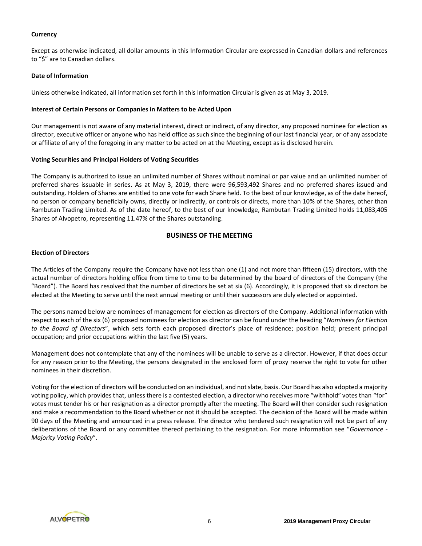### **Currency**

Except as otherwise indicated, all dollar amounts in this Information Circular are expressed in Canadian dollars and references to "\$" are to Canadian dollars.

#### **Date of Information**

Unless otherwise indicated, all information set forth in this Information Circular is given as at May 3, 2019.

### **Interest of Certain Persons or Companies in Matters to be Acted Upon**

Our management is not aware of any material interest, direct or indirect, of any director, any proposed nominee for election as director, executive officer or anyone who has held office as such since the beginning of our last financial year, or of any associate or affiliate of any of the foregoing in any matter to be acted on at the Meeting, except as is disclosed herein.

### **Voting Securities and Principal Holders of Voting Securities**

The Company is authorized to issue an unlimited number of Shares without nominal or par value and an unlimited number of preferred shares issuable in series. As at May 3, 2019, there were 96,593,492 Shares and no preferred shares issued and outstanding. Holders of Shares are entitled to one vote for each Share held. To the best of our knowledge, as of the date hereof, no person or company beneficially owns, directly or indirectly, or controls or directs, more than 10% of the Shares, other than Rambutan Trading Limited. As of the date hereof, to the best of our knowledge, Rambutan Trading Limited holds 11,083,405 Shares of Alvopetro, representing 11.47% of the Shares outstanding.

### **BUSINESS OF THE MEETING**

### **Election of Directors**

The Articles of the Company require the Company have not less than one (1) and not more than fifteen (15) directors, with the actual number of directors holding office from time to time to be determined by the board of directors of the Company (the "Board"). The Board has resolved that the number of directors be set at six (6). Accordingly, it is proposed that six directors be elected at the Meeting to serve until the next annual meeting or until their successors are duly elected or appointed.

The persons named below are nominees of management for election as directors of the Company. Additional information with respect to each of the six (6) proposed nominees for election as director can be found under the heading "*Nominees for Election to the Board of Directors*", which sets forth each proposed director's place of residence; position held; present principal occupation; and prior occupations within the last five (5) years.

Management does not contemplate that any of the nominees will be unable to serve as a director. However, if that does occur for any reason prior to the Meeting, the persons designated in the enclosed form of proxy reserve the right to vote for other nominees in their discretion.

Voting for the election of directors will be conducted on an individual, and not slate, basis. Our Board has also adopted a majority voting policy, which provides that, unless there is a contested election, a director who receives more "withhold" votes than "for" votes must tender his or her resignation as a director promptly after the meeting. The Board will then consider such resignation and make a recommendation to the Board whether or not it should be accepted. The decision of the Board will be made within 90 days of the Meeting and announced in a press release. The director who tendered such resignation will not be part of any deliberations of the Board or any committee thereof pertaining to the resignation. For more information see "*Governance - Majority Voting Policy*".

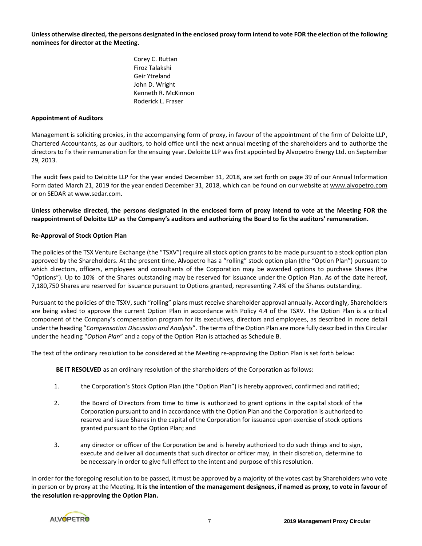**Unless otherwise directed, the persons designated in the enclosed proxy form intend to vote FOR the election of the following nominees for director at the Meeting.**

> Corey C. Ruttan Firoz Talakshi Geir Ytreland John D. Wright Kenneth R. McKinnon Roderick L. Fraser

### **Appointment of Auditors**

Management is soliciting proxies, in the accompanying form of proxy, in favour of the appointment of the firm of Deloitte LLP, Chartered Accountants, as our auditors, to hold office until the next annual meeting of the shareholders and to authorize the directors to fix their remuneration for the ensuing year. Deloitte LLP was first appointed by Alvopetro Energy Ltd. on September 29, 2013.

The audit fees paid to Deloitte LLP for the year ended December 31, 2018, are set forth on page 39 of our Annual Information Form dated March 21, 2019 for the year ended December 31, 2018, which can be found on our website at www.alvopetro.com or on SEDAR at www.sedar.com.

**Unless otherwise directed, the persons designated in the enclosed form of proxy intend to vote at the Meeting FOR the reappointment of Deloitte LLP as the Company's auditors and authorizing the Board to fix the auditors' remuneration.**

### **Re-Approval of Stock Option Plan**

The policies of the TSX Venture Exchange (the "TSXV") require all stock option grants to be made pursuant to a stock option plan approved by the Shareholders. At the present time, Alvopetro has a "rolling" stock option plan (the "Option Plan") pursuant to which directors, officers, employees and consultants of the Corporation may be awarded options to purchase Shares (the "Options"). Up to 10% of the Shares outstanding may be reserved for issuance under the Option Plan. As of the date hereof, 7,180,750 Shares are reserved for issuance pursuant to Options granted, representing 7.4% of the Shares outstanding.

Pursuant to the policies of the TSXV, such "rolling" plans must receive shareholder approval annually. Accordingly, Shareholders are being asked to approve the current Option Plan in accordance with Policy 4.4 of the TSXV. The Option Plan is a critical component of the Company's compensation program for its executives, directors and employees, as described in more detail under the heading "*Compensation Discussion and Analysis*". The terms of the Option Plan are more fully described in this Circular under the heading "*Option Plan*" and a copy of the Option Plan is attached as Schedule B.

The text of the ordinary resolution to be considered at the Meeting re-approving the Option Plan is set forth below:

**BE IT RESOLVED** as an ordinary resolution of the shareholders of the Corporation as follows:

- 1. the Corporation's Stock Option Plan (the "Option Plan") is hereby approved, confirmed and ratified;
- 2. the Board of Directors from time to time is authorized to grant options in the capital stock of the Corporation pursuant to and in accordance with the Option Plan and the Corporation is authorized to reserve and issue Shares in the capital of the Corporation for issuance upon exercise of stock options granted pursuant to the Option Plan; and
- 3. any director or officer of the Corporation be and is hereby authorized to do such things and to sign, execute and deliver all documents that such director or officer may, in their discretion, determine to be necessary in order to give full effect to the intent and purpose of this resolution.

In order for the foregoing resolution to be passed, it must be approved by a majority of the votes cast by Shareholders who vote in person or by proxy at the Meeting. **It is the intention of the management designees, if named as proxy, to vote in favour of the resolution re-approving the Option Plan.**

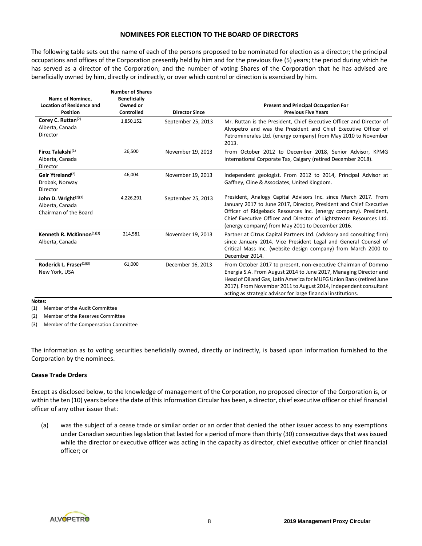### **NOMINEES FOR ELECTION TO THE BOARD OF DIRECTORS**

The following table sets out the name of each of the persons proposed to be nominated for election as a director; the principal occupations and offices of the Corporation presently held by him and for the previous five (5) years; the period during which he has served as a director of the Corporation; and the number of voting Shares of the Corporation that he has advised are beneficially owned by him, directly or indirectly, or over which control or direction is exercised by him.

| Name of Nominee,<br><b>Location of Residence and</b><br><b>Position</b>      | <b>Number of Shares</b><br><b>Beneficially</b><br>Owned or<br>Controlled | <b>Director Since</b> | <b>Present and Principal Occupation For</b><br><b>Previous Five Years</b>                                                                                                                                                                                                                                                                       |
|------------------------------------------------------------------------------|--------------------------------------------------------------------------|-----------------------|-------------------------------------------------------------------------------------------------------------------------------------------------------------------------------------------------------------------------------------------------------------------------------------------------------------------------------------------------|
| Corey C. Ruttan <sup>(2)</sup><br>Alberta, Canada<br>Director                | 1,850,152                                                                | September 25, 2013    | Mr. Ruttan is the President, Chief Executive Officer and Director of<br>Alvopetro and was the President and Chief Executive Officer of<br>Petrominerales Ltd. (energy company) from May 2010 to November<br>2013.                                                                                                                               |
| Firoz Talakshi <sup>(1)</sup><br>Alberta, Canada<br>Director                 | 26,500                                                                   | November 19, 2013     | From October 2012 to December 2018, Senior Advisor, KPMG<br>International Corporate Tax, Calgary (retired December 2018).                                                                                                                                                                                                                       |
| Geir Ytreland <sup>(2)</sup><br>Drobak, Norway<br>Director                   | 46,004                                                                   | November 19, 2013     | Independent geologist. From 2012 to 2014, Principal Advisor at<br>Gaffney, Cline & Associates, United Kingdom.                                                                                                                                                                                                                                  |
| John D. Wright <sup>(2)(3)</sup><br>Alberta, Canada<br>Chairman of the Board | 4,226,291                                                                | September 25, 2013    | President, Analogy Capital Advisors Inc. since March 2017. From<br>January 2017 to June 2017, Director, President and Chief Executive<br>Officer of Ridgeback Resources Inc. (energy company). President,<br>Chief Executive Officer and Director of Lightstream Resources Ltd.<br>(energy company) from May 2011 to December 2016.             |
| Kenneth R. McKinnon $(1)(3)$<br>Alberta, Canada                              | 214,581                                                                  | November 19, 2013     | Partner at Citrus Capital Partners Ltd. (advisory and consulting firm)<br>since January 2014. Vice President Legal and General Counsel of<br>Critical Mass Inc. (website design company) from March 2000 to<br>December 2014.                                                                                                                   |
| Roderick L. Fraser(1)(3)<br>New York, USA                                    | 61,000                                                                   | December 16, 2013     | From October 2017 to present, non-executive Chairman of Dommo<br>Energía S.A. From August 2014 to June 2017, Managing Director and<br>Head of Oil and Gas, Latin America for MUFG Union Bank (retired June<br>2017). From November 2011 to August 2014, independent consultant<br>acting as strategic advisor for large financial institutions. |

**Notes:**

(1) Member of the Audit Committee

(2) Member of the Reserves Committee

(3) Member of the Compensation Committee

The information as to voting securities beneficially owned, directly or indirectly, is based upon information furnished to the Corporation by the nominees.

#### **Cease Trade Orders**

Except as disclosed below, to the knowledge of management of the Corporation, no proposed director of the Corporation is, or within the ten (10) years before the date of this Information Circular has been, a director, chief executive officer or chief financial officer of any other issuer that:

(a) was the subject of a cease trade or similar order or an order that denied the other issuer access to any exemptions under Canadian securities legislation that lasted for a period of more than thirty (30) consecutive days that was issued while the director or executive officer was acting in the capacity as director, chief executive officer or chief financial officer; or

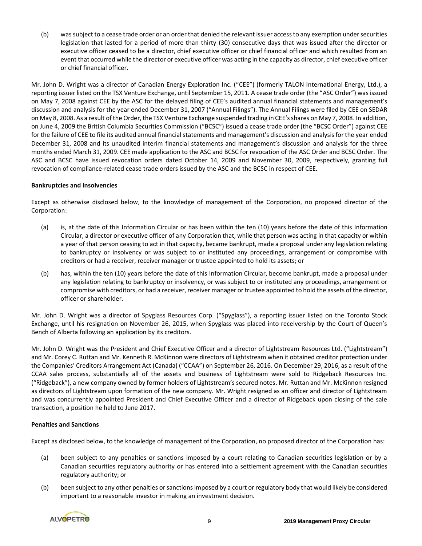(b) was subject to a cease trade order or an order that denied the relevant issuer access to any exemption under securities legislation that lasted for a period of more than thirty (30) consecutive days that was issued after the director or executive officer ceased to be a director, chief executive officer or chief financial officer and which resulted from an event that occurred while the director or executive officer was acting in the capacity as director, chief executive officer or chief financial officer.

Mr. John D. Wright was a director of Canadian Energy Exploration Inc. ("CEE") (formerly TALON International Energy, Ltd.), a reporting issuer listed on the TSX Venture Exchange, until September 15, 2011. A cease trade order (the "ASC Order") was issued on May 7, 2008 against CEE by the ASC for the delayed filing of CEE's audited annual financial statements and management's discussion and analysis for the year ended December 31, 2007 ("Annual Filings"). The Annual Filings were filed by CEE on SEDAR on May 8, 2008. As a result of the Order, the TSX Venture Exchange suspended trading in CEE's shares on May 7, 2008. In addition, on June 4, 2009 the British Columbia Securities Commission ("BCSC") issued a cease trade order (the "BCSC Order") against CEE for the failure of CEE to file its audited annual financial statements and management's discussion and analysis for the year ended December 31, 2008 and its unaudited interim financial statements and management's discussion and analysis for the three months ended March 31, 2009. CEE made application to the ASC and BCSC for revocation of the ASC Order and BCSC Order. The ASC and BCSC have issued revocation orders dated October 14, 2009 and November 30, 2009, respectively, granting full revocation of compliance-related cease trade orders issued by the ASC and the BCSC in respect of CEE.

### **Bankruptcies and Insolvencies**

Except as otherwise disclosed below, to the knowledge of management of the Corporation, no proposed director of the Corporation:

- (a) is, at the date of this Information Circular or has been within the ten (10) years before the date of this Information Circular, a director or executive officer of any Corporation that, while that person was acting in that capacity or within a year of that person ceasing to act in that capacity, became bankrupt, made a proposal under any legislation relating to bankruptcy or insolvency or was subject to or instituted any proceedings, arrangement or compromise with creditors or had a receiver, receiver manager or trustee appointed to hold its assets; or
- (b) has, within the ten (10) years before the date of this Information Circular, become bankrupt, made a proposal under any legislation relating to bankruptcy or insolvency, or was subject to or instituted any proceedings, arrangement or compromise with creditors, or had a receiver, receiver manager or trustee appointed to hold the assets of the director, officer or shareholder.

Mr. John D. Wright was a director of Spyglass Resources Corp. ("Spyglass"), a reporting issuer listed on the Toronto Stock Exchange, until his resignation on November 26, 2015, when Spyglass was placed into receivership by the Court of Queen's Bench of Alberta following an application by its creditors.

Mr. John D. Wright was the President and Chief Executive Officer and a director of Lightstream Resources Ltd. ("Lightstream") and Mr. Corey C. Ruttan and Mr. Kenneth R. McKinnon were directors of Lightstream when it obtained creditor protection under the Companies' Creditors Arrangement Act (Canada) ("CCAA") on September 26, 2016. On December 29, 2016, as a result of the CCAA sales process, substantially all of the assets and business of Lightstream were sold to Ridgeback Resources Inc. ("Ridgeback"), a new company owned by former holders of Lightstream's secured notes. Mr. Ruttan and Mr. McKinnon resigned as directors of Lightstream upon formation of the new company. Mr. Wright resigned as an officer and director of Lightstream and was concurrently appointed President and Chief Executive Officer and a director of Ridgeback upon closing of the sale transaction, a position he held to June 2017.

### **Penalties and Sanctions**

Except as disclosed below, to the knowledge of management of the Corporation, no proposed director of the Corporation has:

- (a) been subject to any penalties or sanctions imposed by a court relating to Canadian securities legislation or by a Canadian securities regulatory authority or has entered into a settlement agreement with the Canadian securities regulatory authority; or
- (b) been subject to any other penalties or sanctions imposed by a court or regulatory body that would likely be considered important to a reasonable investor in making an investment decision.

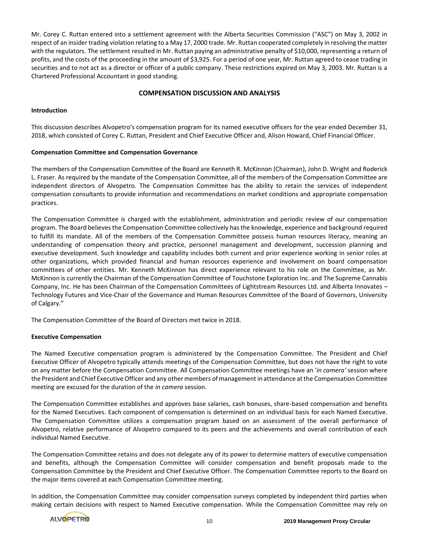Mr. Corey C. Ruttan entered into a settlement agreement with the Alberta Securities Commission ("ASC") on May 3, 2002 in respect of an insider trading violation relating to a May 17, 2000 trade. Mr. Ruttan cooperated completely in resolving the matter with the regulators. The settlement resulted in Mr. Ruttan paying an administrative penalty of \$10,000, representing a return of profits, and the costs of the proceeding in the amount of \$3,925. For a period of one year, Mr. Ruttan agreed to cease trading in securities and to not act as a director or officer of a public company. These restrictions expired on May 3, 2003. Mr. Ruttan is a Chartered Professional Accountant in good standing.

# **COMPENSATION DISCUSSION AND ANALYSIS**

### **Introduction**

This discussion describes Alvopetro's compensation program for its named executive officers for the year ended December 31, 2018, which consisted of Corey C. Ruttan, President and Chief Executive Officer and, Alison Howard, Chief Financial Officer.

### **Compensation Committee and Compensation Governance**

The members of the Compensation Committee of the Board are Kenneth R. McKinnon (Chairman), John D. Wright and Roderick L. Fraser. As required by the mandate of the Compensation Committee, all of the members of the Compensation Committee are independent directors of Alvopetro. The Compensation Committee has the ability to retain the services of independent compensation consultants to provide information and recommendations on market conditions and appropriate compensation practices.

The Compensation Committee is charged with the establishment, administration and periodic review of our compensation program. The Board believes the Compensation Committee collectively has the knowledge, experience and background required to fulfill its mandate. All of the members of the Compensation Committee possess human resources literacy, meaning an understanding of compensation theory and practice, personnel management and development, succession planning and executive development. Such knowledge and capability includes both current and prior experience working in senior roles at other organizations, which provided financial and human resources experience and involvement on board compensation committees of other entities. Mr. Kenneth McKinnon has direct experience relevant to his role on the Committee, as Mr. McKinnon is currently the Chairman of the Compensation Committee of Touchstone Exploration Inc. and The Supreme Cannabis Company, Inc. He has been Chairman of the Compensation Committees of Lightstream Resources Ltd. and Alberta Innovates – Technology Futures and Vice-Chair of the Governance and Human Resources Committee of the Board of Governors, University of Calgary."

The Compensation Committee of the Board of Directors met twice in 2018.

### **Executive Compensation**

The Named Executive compensation program is administered by the Compensation Committee. The President and Chief Executive Officer of Alvopetro typically attends meetings of the Compensation Committee, but does not have the right to vote on any matter before the Compensation Committee. All Compensation Committee meetings have an '*in camera'* session where the President and Chief Executive Officer and any other members of management in attendance at the Compensation Committee meeting are excused for the duration of the *in camera* session.

The Compensation Committee establishes and approves base salaries, cash bonuses, share-based compensation and benefits for the Named Executives. Each component of compensation is determined on an individual basis for each Named Executive. The Compensation Committee utilizes a compensation program based on an assessment of the overall performance of Alvopetro, relative performance of Alvopetro compared to its peers and the achievements and overall contribution of each individual Named Executive.

The Compensation Committee retains and does not delegate any of its power to determine matters of executive compensation and benefits, although the Compensation Committee will consider compensation and benefit proposals made to the Compensation Committee by the President and Chief Executive Officer. The Compensation Committee reports to the Board on the major items covered at each Compensation Committee meeting.

In addition, the Compensation Committee may consider compensation surveys completed by independent third parties when making certain decisions with respect to Named Executive compensation. While the Compensation Committee may rely on

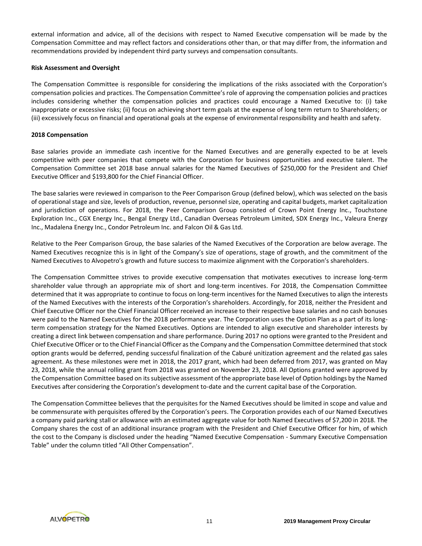external information and advice, all of the decisions with respect to Named Executive compensation will be made by the Compensation Committee and may reflect factors and considerations other than, or that may differ from, the information and recommendations provided by independent third party surveys and compensation consultants.

### **Risk Assessment and Oversight**

The Compensation Committee is responsible for considering the implications of the risks associated with the Corporation's compensation policies and practices. The Compensation Committee's role of approving the compensation policies and practices includes considering whether the compensation policies and practices could encourage a Named Executive to: (i) take inappropriate or excessive risks; (ii) focus on achieving short term goals at the expense of long term return to Shareholders; or (iii) excessively focus on financial and operational goals at the expense of environmental responsibility and health and safety.

### **2018 Compensation**

Base salaries provide an immediate cash incentive for the Named Executives and are generally expected to be at levels competitive with peer companies that compete with the Corporation for business opportunities and executive talent. The Compensation Committee set 2018 base annual salaries for the Named Executives of \$250,000 for the President and Chief Executive Officer and \$193,800 for the Chief Financial Officer.

The base salaries were reviewed in comparison to the Peer Comparison Group (defined below), which was selected on the basis of operational stage and size, levels of production, revenue, personnel size, operating and capital budgets, market capitalization and jurisdiction of operations. For 2018, the Peer Comparison Group consisted of Crown Point Energy Inc., Touchstone Exploration Inc., CGX Energy Inc., Bengal Energy Ltd., Canadian Overseas Petroleum Limited, SDX Energy Inc., Valeura Energy Inc., Madalena Energy Inc., Condor Petroleum Inc. and Falcon Oil & Gas Ltd.

Relative to the Peer Comparison Group, the base salaries of the Named Executives of the Corporation are below average. The Named Executives recognize this is in light of the Company's size of operations, stage of growth, and the commitment of the Named Executives to Alvopetro's growth and future success to maximize alignment with the Corporation's shareholders.

The Compensation Committee strives to provide executive compensation that motivates executives to increase long-term shareholder value through an appropriate mix of short and long-term incentives. For 2018, the Compensation Committee determined that it was appropriate to continue to focus on long-term incentives for the Named Executives to align the interests of the Named Executives with the interests of the Corporation's shareholders. Accordingly, for 2018, neither the President and Chief Executive Officer nor the Chief Financial Officer received an increase to their respective base salaries and no cash bonuses were paid to the Named Executives for the 2018 performance year. The Corporation uses the Option Plan as a part of its longterm compensation strategy for the Named Executives. Options are intended to align executive and shareholder interests by creating a direct link between compensation and share performance. During 2017 no options were granted to the President and Chief Executive Officer or to the Chief Financial Officer as the Company and the Compensation Committee determined that stock option grants would be deferred, pending successful finalization of the Caburé unitization agreement and the related gas sales agreement. As these milestones were met in 2018, the 2017 grant, which had been deferred from 2017, was granted on May 23, 2018, while the annual rolling grant from 2018 was granted on November 23, 2018. All Options granted were approved by the Compensation Committee based on its subjective assessment of the appropriate base level of Option holdings by the Named Executives after considering the Corporation's development to-date and the current capital base of the Corporation.

The Compensation Committee believes that the perquisites for the Named Executives should be limited in scope and value and be commensurate with perquisites offered by the Corporation's peers. The Corporation provides each of our Named Executives a company paid parking stall or allowance with an estimated aggregate value for both Named Executives of \$7,200 in 2018. The Company shares the cost of an additional insurance program with the President and Chief Executive Officer for him, of which the cost to the Company is disclosed under the heading "Named Executive Compensation - Summary Executive Compensation Table" under the column titled "All Other Compensation".

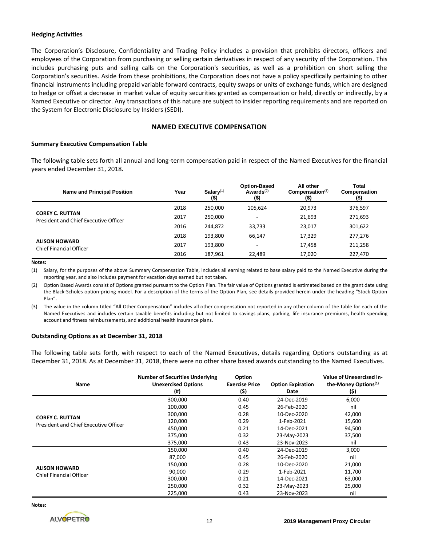#### **Hedging Activities**

The Corporation's Disclosure, Confidentiality and Trading Policy includes a provision that prohibits directors, officers and employees of the Corporation from purchasing or selling certain derivatives in respect of any security of the Corporation. This includes purchasing puts and selling calls on the Corporation's securities, as well as a prohibition on short selling the Corporation's securities. Aside from these prohibitions, the Corporation does not have a policy specifically pertaining to other financial instruments including prepaid variable forward contracts, equity swaps or units of exchange funds, which are designed to hedge or offset a decrease in market value of equity securities granted as compensation or held, directly or indirectly, by a Named Executive or director. Any transactions of this nature are subject to insider reporting requirements and are reported on the System for Electronic Disclosure by Insiders (SEDI).

### **NAMED EXECUTIVE COMPENSATION**

#### **Summary Executive Compensation Table**

The following table sets forth all annual and long-term compensation paid in respect of the Named Executives for the financial years ended December 31, 2018.

| Name and Principal Position                                     | Year | Salary <sup>(1)</sup><br>(\$) | <b>Option-Based</b><br>Awards $(2)$<br>$($ \$) | All other<br>Compenstation <sup>(3)</sup><br>$($ \$) | Total<br>Compensation<br>(\$) |
|-----------------------------------------------------------------|------|-------------------------------|------------------------------------------------|------------------------------------------------------|-------------------------------|
|                                                                 | 2018 | 250.000                       | 105.624                                        | 20,973                                               | 376,597                       |
| <b>COREY C. RUTTAN</b><br>President and Chief Executive Officer | 2017 | 250,000                       | ۰                                              | 21,693                                               | 271,693                       |
|                                                                 | 2016 | 244.872                       | 33,733                                         | 23,017                                               | 301,622                       |
|                                                                 | 2018 | 193,800                       | 66.147                                         | 17,329                                               | 277,276                       |
| <b>ALISON HOWARD</b><br>Chief Financial Officer                 | 2017 | 193,800                       | ۰                                              | 17,458                                               | 211,258                       |
|                                                                 | 2016 | 187.961                       | 22.489                                         | 17,020                                               | 227.470                       |

#### **Notes:**

(1) Salary, for the purposes of the above Summary Compensation Table, includes all earning related to base salary paid to the Named Executive during the reporting year, and also includes payment for vacation days earned but not taken.

(2) Option Based Awards consist of Options granted pursuant to the Option Plan. The fair value of Options granted is estimated based on the grant date using the Black-Scholes option-pricing model. For a description of the terms of the Option Plan, see details provided herein under the heading "Stock Option Plan".

(3) The value in the column titled "All Other Compensation" includes all other compensation not reported in any other column of the table for each of the Named Executives and includes certain taxable benefits including but not limited to savings plans, parking, life insurance premiums, health spending account and fitness reimbursements, and additional health insurance plans.

#### **Outstanding Options as at December 31, 2018**

The following table sets forth, with respect to each of the Named Executives, details regarding Options outstanding as at December 31, 2018. As at December 31, 2018, there were no other share based awards outstanding to the Named Executives.

| Name                                  | <b>Number of Securities Underlying</b><br><b>Unexercised Options</b><br>$($ #) | Option<br><b>Exercise Price</b><br>(\$) | <b>Option Expiration</b><br>Date | Value of Unexercised In-<br>the-Money Options <sup>(1)</sup><br>(\$) |
|---------------------------------------|--------------------------------------------------------------------------------|-----------------------------------------|----------------------------------|----------------------------------------------------------------------|
|                                       | 300,000                                                                        | 0.40                                    | 24-Dec-2019                      | 6,000                                                                |
|                                       | 100,000                                                                        | 0.45                                    | 26-Feb-2020                      | nil                                                                  |
| <b>COREY C. RUTTAN</b>                | 300,000                                                                        | 0.28                                    | 10-Dec-2020                      | 42,000                                                               |
| President and Chief Executive Officer | 120,000                                                                        | 0.29                                    | 1-Feb-2021                       | 15,600                                                               |
|                                       | 450,000                                                                        | 0.21                                    | 14-Dec-2021                      | 94,500                                                               |
|                                       | 375,000                                                                        | 0.32                                    | 23-May-2023                      | 37,500                                                               |
|                                       | 375,000                                                                        | 0.43                                    | 23-Nov-2023                      | nil                                                                  |
|                                       | 150,000                                                                        | 0.40                                    | 24-Dec-2019                      | 3,000                                                                |
|                                       | 87,000                                                                         | 0.45                                    | 26-Feb-2020                      | nil                                                                  |
|                                       | 150,000                                                                        | 0.28                                    | 10-Dec-2020                      | 21,000                                                               |
| <b>ALISON HOWARD</b>                  | 90,000                                                                         | 0.29                                    | 1-Feb-2021                       | 11,700                                                               |
| <b>Chief Financial Officer</b>        | 300,000                                                                        | 0.21                                    | 14-Dec-2021                      | 63,000                                                               |
|                                       | 250,000                                                                        | 0.32                                    | 23-May-2023                      | 25,000                                                               |
|                                       | 225,000                                                                        | 0.43                                    | 23-Nov-2023                      | nil                                                                  |

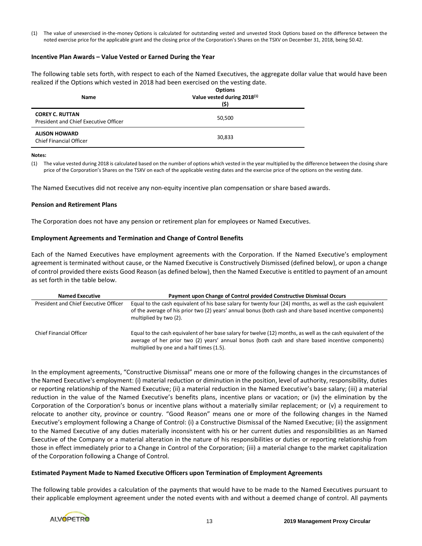(1) The value of unexercised in-the-money Options is calculated for outstanding vested and unvested Stock Options based on the difference between the noted exercise price for the applicable grant and the closing price of the Corporation's Shares on the TSXV on December 31, 2018, being \$0.42.

#### **Incentive Plan Awards – Value Vested or Earned During the Year**

The following table sets forth, with respect to each of the Named Executives, the aggregate dollar value that would have been realized if the Options which vested in 2018 had been exercised on the vesting date.

| <b>Name</b>                                                     | <b>Options</b><br>Value vested during 2018 <sup>(1)</sup><br>(\$) |
|-----------------------------------------------------------------|-------------------------------------------------------------------|
| <b>COREY C. RUTTAN</b><br>President and Chief Executive Officer | 50,500                                                            |
| <b>ALISON HOWARD</b><br><b>Chief Financial Officer</b>          | 30,833                                                            |

#### **Notes:**

(1) The value vested during 2018 is calculated based on the number of options which vested in the year multiplied by the difference between the closing share price of the Corporation's Shares on the TSXV on each of the applicable vesting dates and the exercise price of the options on the vesting date.

The Named Executives did not receive any non-equity incentive plan compensation or share based awards.

#### **Pension and Retirement Plans**

The Corporation does not have any pension or retirement plan for employees or Named Executives.

#### **Employment Agreements and Termination and Change of Control Benefits**

Each of the Named Executives have employment agreements with the Corporation. If the Named Executive's employment agreement is terminated without cause, or the Named Executive is Constructively Dismissed (defined below), or upon a change of control provided there exists Good Reason (as defined below), then the Named Executive is entitled to payment of an amount as set forth in the table below.

| <b>Named Executive</b>                | Payment upon Change of Control provided Constructive Dismissal Occurs                                                                                                                                                                                           |
|---------------------------------------|-----------------------------------------------------------------------------------------------------------------------------------------------------------------------------------------------------------------------------------------------------------------|
| President and Chief Executive Officer | Equal to the cash equivalent of his base salary for twenty four (24) months, as well as the cash equivalent<br>of the average of his prior two (2) years' annual bonus (both cash and share based incentive components)<br>multiplied by two (2).               |
| Chief Financial Officer               | Equal to the cash equivalent of her base salary for twelve (12) months, as well as the cash equivalent of the<br>average of her prior two (2) years' annual bonus (both cash and share based incentive components)<br>multiplied by one and a half times (1.5). |

In the employment agreements, "Constructive Dismissal" means one or more of the following changes in the circumstances of the Named Executive's employment: (i) material reduction or diminution in the position, level of authority, responsibility, duties or reporting relationship of the Named Executive; (ii) a material reduction in the Named Executive's base salary; (iii) a material reduction in the value of the Named Executive's benefits plans, incentive plans or vacation; or (iv) the elimination by the Corporation of the Corporation's bonus or incentive plans without a materially similar replacement; or (v) a requirement to relocate to another city, province or country. "Good Reason" means one or more of the following changes in the Named Executive's employment following a Change of Control: (i) a Constructive Dismissal of the Named Executive; (ii) the assignment to the Named Executive of any duties materially inconsistent with his or her current duties and responsibilities as an Named Executive of the Company or a material alteration in the nature of his responsibilities or duties or reporting relationship from those in effect immediately prior to a Change in Control of the Corporation; (iii) a material change to the market capitalization of the Corporation following a Change of Control.

#### **Estimated Payment Made to Named Executive Officers upon Termination of Employment Agreements**

The following table provides a calculation of the payments that would have to be made to the Named Executives pursuant to their applicable employment agreement under the noted events with and without a deemed change of control. All payments

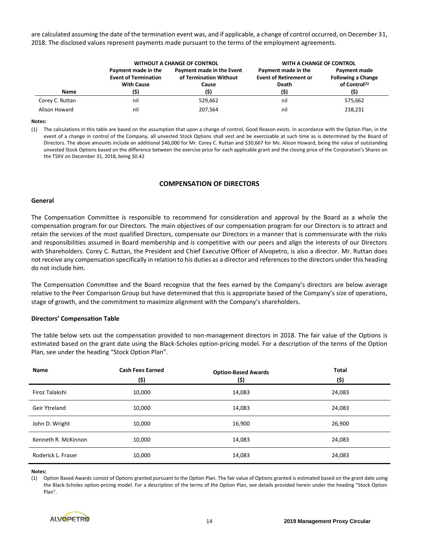are calculated assuming the date of the termination event was, and if applicable, a change of control occurred, on December 31, 2018. The disclosed values represent payments made pursuant to the terms of the employment agreements.

|                 | <b>WITHOUT A CHANGE OF CONTROL</b>                                      |                                                                     | <b>WITH A CHANGE OF CONTROL</b>                                       |                                                                                |
|-----------------|-------------------------------------------------------------------------|---------------------------------------------------------------------|-----------------------------------------------------------------------|--------------------------------------------------------------------------------|
| Name            | Payment made in the<br><b>Event of Termination</b><br><b>With Cause</b> | Payment made in the Event<br>of Termination Without<br>Cause<br>(5) | Payment made in the<br><b>Event of Retirement or</b><br>Death<br>(\$) | Payment made<br><b>Following a Change</b><br>of Control <sup>(1)</sup><br>(\$) |
| Corey C. Ruttan | nil                                                                     | 529.662                                                             | nil                                                                   | 575,662                                                                        |
| Alison Howard   | nil                                                                     | 207.564                                                             | nil                                                                   | 238,231                                                                        |

#### **Notes:**

(1) The calculations in this table are based on the assumption that upon a change of control, Good Reason exists. In accordance with the Option Plan, in the event of a change in control of the Company, all unvested Stock Options shall vest and be exercisable at such time as is determined by the Board of Directors. The above amounts include an additional \$46,000 for Mr. Corey C. Ruttan and \$30,667 for Ms. Alison Howard, being the value of outstanding unvested Stock Options based on the difference between the exercise price for each applicable grant and the closing price of the Corporation's Shares on the TSXV on December 31, 2018, being \$0.42

### **COMPENSATION OF DIRECTORS**

#### **General**

The Compensation Committee is responsible to recommend for consideration and approval by the Board as a whole the compensation program for our Directors. The main objectives of our compensation program for our Directors is to attract and retain the services of the most qualified Directors, compensate our Directors in a manner that is commensurate with the risks and responsibilities assumed in Board membership and is competitive with our peers and align the interests of our Directors with Shareholders. Corey C. Ruttan, the President and Chief Executive Officer of Alvopetro, is also a director. Mr. Ruttan does not receive any compensation specifically in relation to his duties as a director and references to the directors under this heading do not include him.

The Compensation Committee and the Board recognize that the fees earned by the Company's directors are below average relative to the Peer Comparison Group but have determined that this is appropriate based of the Company's size of operations, stage of growth, and the commitment to maximize alignment with the Company's shareholders.

#### **Directors' Compensation Table**

The table below sets out the compensation provided to non-management directors in 2018. The fair value of the Options is estimated based on the grant date using the Black-Scholes option-pricing model. For a description of the terms of the Option Plan, see under the heading "Stock Option Plan".

| <b>Name</b>         | <b>Cash Fees Earned</b><br>(\$) | <b>Option-Based Awards</b><br>(\$) | <b>Total</b><br>(\$) |
|---------------------|---------------------------------|------------------------------------|----------------------|
| Firoz Talakshi      | 10,000                          | 14,083                             | 24,083               |
| Geir Ytreland       | 10,000                          | 14,083                             | 24,083               |
| John D. Wright      | 10,000                          | 16,900                             | 26,900               |
| Kenneth R. McKinnon | 10,000                          | 14,083                             | 24,083               |
| Roderick L. Fraser  | 10,000                          | 14,083                             | 24,083               |

**Notes:**

(1) Option Based Awards consist of Options granted pursuant to the Option Plan. The fair value of Options granted is estimated based on the grant date using the Black-Scholes option-pricing model. For a description of the terms of the Option Plan, see details provided herein under the heading "Stock Option Plan".

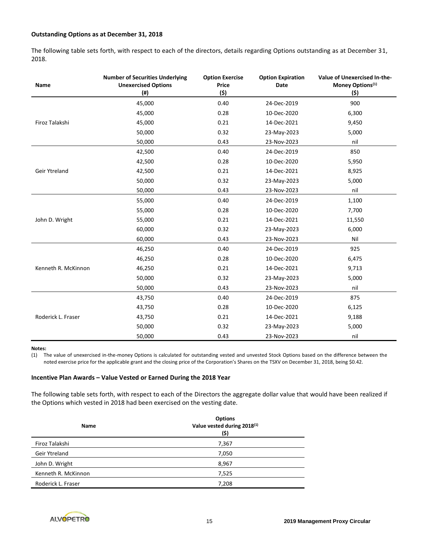### **Outstanding Options as at December 31, 2018**

The following table sets forth, with respect to each of the directors, details regarding Options outstanding as at December 31, 2018.

| Name                | <b>Number of Securities Underlying</b><br><b>Unexercised Options</b><br>$($ #) | <b>Option Exercise</b><br><b>Price</b><br>(\$) | <b>Option Expiration</b><br>Date | Value of Unexercised In-the-<br>Money Options <sup>(1)</sup><br>(\$) |
|---------------------|--------------------------------------------------------------------------------|------------------------------------------------|----------------------------------|----------------------------------------------------------------------|
|                     | 45,000                                                                         | 0.40                                           | 24-Dec-2019                      | 900                                                                  |
|                     | 45,000                                                                         | 0.28                                           | 10-Dec-2020                      | 6,300                                                                |
| Firoz Talakshi      | 45,000                                                                         | 0.21                                           | 14-Dec-2021                      | 9,450                                                                |
|                     | 50,000                                                                         | 0.32                                           | 23-May-2023                      | 5,000                                                                |
|                     | 50,000                                                                         | 0.43                                           | 23-Nov-2023                      | nil                                                                  |
|                     | 42,500                                                                         | 0.40                                           | 24-Dec-2019                      | 850                                                                  |
|                     | 42,500                                                                         | 0.28                                           | 10-Dec-2020                      | 5,950                                                                |
| Geir Ytreland       | 42,500                                                                         | 0.21                                           | 14-Dec-2021                      | 8,925                                                                |
|                     | 50,000                                                                         | 0.32                                           | 23-May-2023                      | 5,000                                                                |
|                     | 50,000                                                                         | 0.43                                           | 23-Nov-2023                      | nil                                                                  |
|                     | 55,000                                                                         | 0.40                                           | 24-Dec-2019                      | 1,100                                                                |
|                     | 55,000                                                                         | 0.28                                           | 10-Dec-2020                      | 7,700                                                                |
| John D. Wright      | 55,000                                                                         | 0.21                                           | 14-Dec-2021                      | 11,550                                                               |
|                     | 60,000                                                                         | 0.32                                           | 23-May-2023                      | 6,000                                                                |
|                     | 60,000                                                                         | 0.43                                           | 23-Nov-2023                      | Nil                                                                  |
|                     | 46,250                                                                         | 0.40                                           | 24-Dec-2019                      | 925                                                                  |
|                     | 46,250                                                                         | 0.28                                           | 10-Dec-2020                      | 6,475                                                                |
| Kenneth R. McKinnon | 46,250                                                                         | 0.21                                           | 14-Dec-2021                      | 9,713                                                                |
|                     | 50,000                                                                         | 0.32                                           | 23-May-2023                      | 5,000                                                                |
|                     | 50,000                                                                         | 0.43                                           | 23-Nov-2023                      | nil                                                                  |
|                     | 43,750                                                                         | 0.40                                           | 24-Dec-2019                      | 875                                                                  |
|                     | 43,750                                                                         | 0.28                                           | 10-Dec-2020                      | 6,125                                                                |
| Roderick L. Fraser  | 43,750                                                                         | 0.21                                           | 14-Dec-2021                      | 9,188                                                                |
|                     | 50,000                                                                         | 0.32                                           | 23-May-2023                      | 5,000                                                                |
|                     | 50,000                                                                         | 0.43                                           | 23-Nov-2023                      | nil                                                                  |

#### **Notes:**

(1) The value of unexercised in-the-money Options is calculated for outstanding vested and unvested Stock Options based on the difference between the noted exercise price for the applicable grant and the closing price of the Corporation's Shares on the TSXV on December 31, 2018, being \$0.42.

#### **Incentive Plan Awards – Value Vested or Earned During the 2018 Year**

The following table sets forth, with respect to each of the Directors the aggregate dollar value that would have been realized if the Options which vested in 2018 had been exercised on the vesting date.

| <b>Name</b>         | <b>Options</b><br>Value vested during 2018 <sup>(1)</sup><br>(\$) |
|---------------------|-------------------------------------------------------------------|
| Firoz Talakshi      | 7,367                                                             |
| Geir Ytreland       | 7,050                                                             |
| John D. Wright      | 8,967                                                             |
| Kenneth R. McKinnon | 7,525                                                             |
| Roderick L. Fraser  | 7,208                                                             |

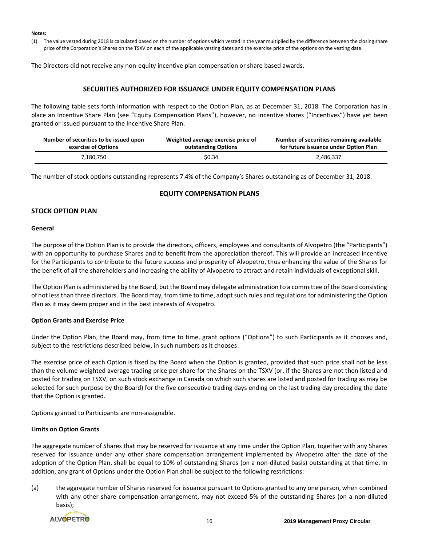#### **Notes:**

(1) The value vested during 2018 is calculated based on the number of options which vested in the year multiplied by the difference between the closing share price of the Corporation's Shares on the TSXV on each of the applicable vesting dates and the exercise price of the options on the vesting date.

The Directors did not receive any non-equity incentive plan compensation or share based awards.

# **SECURITIES AUTHORIZED FOR ISSUANCE UNDER EQUITY COMPENSATION PLANS**

The following table sets forth information with respect to the Option Plan, as at December 31, 2018. The Corporation has in place an Incentive Share Plan (see "Equity Compensation Plans"), however, no incentive shares ("Incentives") have yet been granted or issued pursuant to the Incentive Share Plan.

| Number of securities to be issued upon | Weighted average exercise price of | Number of securities remaining available |
|----------------------------------------|------------------------------------|------------------------------------------|
| exercise of Options                    | outstanding Options                | for future issuance under Option Plan    |
| 7,180,750                              | \$0.34                             | 2,486,337                                |

The number of stock options outstanding represents 7.4% of the Company's Shares outstanding as of December 31, 2018.

### **EQUITY COMPENSATION PLANS**

# **STOCK OPTION PLAN**

### **General**

The purpose of the Option Plan is to provide the directors, officers, employees and consultants of Alvopetro (the "Participants") with an opportunity to purchase Shares and to benefit from the appreciation thereof. This will provide an increased incentive for the Participants to contribute to the future success and prosperity of Alvopetro, thus enhancing the value of the Shares for the benefit of all the shareholders and increasing the ability of Alvopetro to attract and retain individuals of exceptional skill.

The Option Plan is administered by the Board, but the Board may delegate administration to a committee of the Board consisting of not less than three directors. The Board may, from time to time, adopt such rules and regulations for administering the Option Plan as it may deem proper and in the best interests of Alvopetro.

### **Option Grants and Exercise Price**

Under the Option Plan, the Board may, from time to time, grant options ("Options") to such Participants as it chooses and, subject to the restrictions described below, in such numbers as it chooses.

The exercise price of each Option is fixed by the Board when the Option is granted, provided that such price shall not be less than the volume weighted average trading price per share for the Shares on the TSXV (or, if the Shares are not then listed and posted for trading on TSXV, on such stock exchange in Canada on which such shares are listed and posted for trading as may be selected for such purpose by the Board) for the five consecutive trading days ending on the last trading day preceding the date that the Option is granted.

Options granted to Participants are non-assignable.

### **Limits on Option Grants**

The aggregate number of Shares that may be reserved for issuance at any time under the Option Plan, together with any Shares reserved for issuance under any other share compensation arrangement implemented by Alvopetro after the date of the adoption of the Option Plan, shall be equal to 10% of outstanding Shares (on a non-diluted basis) outstanding at that time. In addition, any grant of Options under the Option Plan shall be subject to the following restrictions:

(a) the aggregate number of Shares reserved for issuance pursuant to Options granted to any one person, when combined with any other share compensation arrangement, may not exceed 5% of the outstanding Shares (on a non-diluted basis);

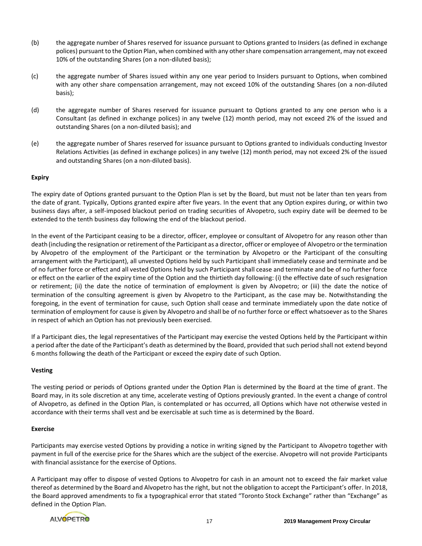- (b) the aggregate number of Shares reserved for issuance pursuant to Options granted to Insiders (as defined in exchange polices) pursuant to the Option Plan, when combined with any other share compensation arrangement, may not exceed 10% of the outstanding Shares (on a non-diluted basis);
- (c) the aggregate number of Shares issued within any one year period to Insiders pursuant to Options, when combined with any other share compensation arrangement, may not exceed 10% of the outstanding Shares (on a non-diluted basis);
- (d) the aggregate number of Shares reserved for issuance pursuant to Options granted to any one person who is a Consultant (as defined in exchange polices) in any twelve (12) month period, may not exceed 2% of the issued and outstanding Shares (on a non-diluted basis); and
- (e) the aggregate number of Shares reserved for issuance pursuant to Options granted to individuals conducting Investor Relations Activities (as defined in exchange polices) in any twelve (12) month period, may not exceed 2% of the issued and outstanding Shares (on a non-diluted basis).

### **Expiry**

The expiry date of Options granted pursuant to the Option Plan is set by the Board, but must not be later than ten years from the date of grant. Typically, Options granted expire after five years. In the event that any Option expires during, or within two business days after, a self-imposed blackout period on trading securities of Alvopetro, such expiry date will be deemed to be extended to the tenth business day following the end of the blackout period.

In the event of the Participant ceasing to be a director, officer, employee or consultant of Alvopetro for any reason other than death (including the resignation or retirement of the Participant as a director, officer or employee of Alvopetro or the termination by Alvopetro of the employment of the Participant or the termination by Alvopetro or the Participant of the consulting arrangement with the Participant), all unvested Options held by such Participant shall immediately cease and terminate and be of no further force or effect and all vested Options held by such Participant shall cease and terminate and be of no further force or effect on the earlier of the expiry time of the Option and the thirtieth day following: (i) the effective date of such resignation or retirement; (ii) the date the notice of termination of employment is given by Alvopetro; or (iii) the date the notice of termination of the consulting agreement is given by Alvopetro to the Participant, as the case may be. Notwithstanding the foregoing, in the event of termination for cause, such Option shall cease and terminate immediately upon the date notice of termination of employment for cause is given by Alvopetro and shall be of no further force or effect whatsoever as to the Shares in respect of which an Option has not previously been exercised.

If a Participant dies, the legal representatives of the Participant may exercise the vested Options held by the Participant within a period after the date of the Participant's death as determined by the Board, provided that such period shall not extend beyond 6 months following the death of the Participant or exceed the expiry date of such Option.

### **Vesting**

The vesting period or periods of Options granted under the Option Plan is determined by the Board at the time of grant. The Board may, in its sole discretion at any time, accelerate vesting of Options previously granted. In the event a change of control of Alvopetro, as defined in the Option Plan, is contemplated or has occurred, all Options which have not otherwise vested in accordance with their terms shall vest and be exercisable at such time as is determined by the Board.

### **Exercise**

Participants may exercise vested Options by providing a notice in writing signed by the Participant to Alvopetro together with payment in full of the exercise price for the Shares which are the subject of the exercise. Alvopetro will not provide Participants with financial assistance for the exercise of Options.

A Participant may offer to dispose of vested Options to Alvopetro for cash in an amount not to exceed the fair market value thereof as determined by the Board and Alvopetro has the right, but not the obligation to accept the Participant's offer. In 2018, the Board approved amendments to fix a typographical error that stated "Toronto Stock Exchange" rather than "Exchange" as defined in the Option Plan.

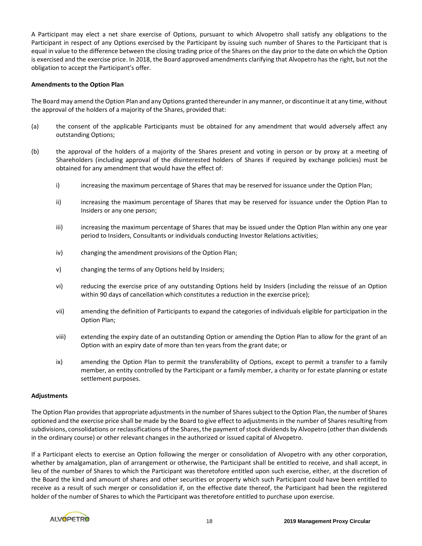A Participant may elect a net share exercise of Options, pursuant to which Alvopetro shall satisfy any obligations to the Participant in respect of any Options exercised by the Participant by issuing such number of Shares to the Participant that is equal in value to the difference between the closing trading price of the Shares on the day prior to the date on which the Option is exercised and the exercise price. In 2018, the Board approved amendments clarifying that Alvopetro has the right, but not the obligation to accept the Participant's offer.

### **Amendments to the Option Plan**

The Board may amend the Option Plan and any Options granted thereunder in any manner, or discontinue it at any time, without the approval of the holders of a majority of the Shares, provided that:

- (a) the consent of the applicable Participants must be obtained for any amendment that would adversely affect any outstanding Options;
- (b) the approval of the holders of a majority of the Shares present and voting in person or by proxy at a meeting of Shareholders (including approval of the disinterested holders of Shares if required by exchange policies) must be obtained for any amendment that would have the effect of:
	- i) increasing the maximum percentage of Shares that may be reserved for issuance under the Option Plan;
	- ii) increasing the maximum percentage of Shares that may be reserved for issuance under the Option Plan to Insiders or any one person;
	- iii) increasing the maximum percentage of Shares that may be issued under the Option Plan within any one year period to Insiders, Consultants or individuals conducting Investor Relations activities;
	- iv) changing the amendment provisions of the Option Plan;
	- v) changing the terms of any Options held by Insiders;
	- vi) reducing the exercise price of any outstanding Options held by Insiders (including the reissue of an Option within 90 days of cancellation which constitutes a reduction in the exercise price);
	- vii) amending the definition of Participants to expand the categories of individuals eligible for participation in the Option Plan;
	- viii) extending the expiry date of an outstanding Option or amending the Option Plan to allow for the grant of an Option with an expiry date of more than ten years from the grant date; or
	- ix) amending the Option Plan to permit the transferability of Options, except to permit a transfer to a family member, an entity controlled by the Participant or a family member, a charity or for estate planning or estate settlement purposes.

#### **Adjustments**

The Option Plan provides that appropriate adjustments in the number of Shares subject to the Option Plan, the number of Shares optioned and the exercise price shall be made by the Board to give effect to adjustments in the number of Shares resulting from subdivisions, consolidations or reclassifications of the Shares, the payment of stock dividends by Alvopetro (other than dividends in the ordinary course) or other relevant changes in the authorized or issued capital of Alvopetro.

If a Participant elects to exercise an Option following the merger or consolidation of Alvopetro with any other corporation, whether by amalgamation, plan of arrangement or otherwise, the Participant shall be entitled to receive, and shall accept, in lieu of the number of Shares to which the Participant was theretofore entitled upon such exercise, either, at the discretion of the Board the kind and amount of shares and other securities or property which such Participant could have been entitled to receive as a result of such merger or consolidation if, on the effective date thereof, the Participant had been the registered holder of the number of Shares to which the Participant was theretofore entitled to purchase upon exercise.

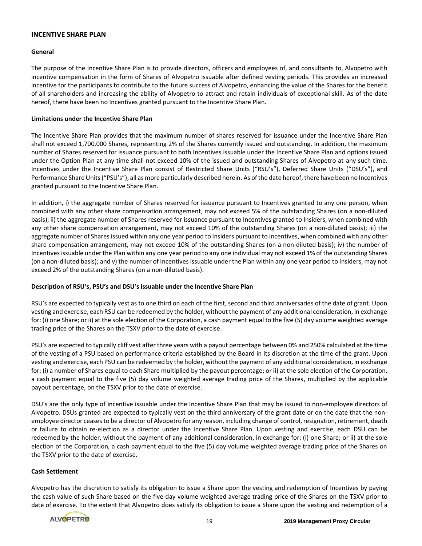### **INCENTIVE SHARE PLAN**

#### **General**

The purpose of the Incentive Share Plan is to provide directors, officers and employees of, and consultants to, Alvopetro with incentive compensation in the form of Shares of Alvopetro issuable after defined vesting periods. This provides an increased incentive for the participants to contribute to the future success of Alvopetro, enhancing the value of the Shares for the benefit of all shareholders and increasing the ability of Alvopetro to attract and retain individuals of exceptional skill. As of the date hereof, there have been no Incentives granted pursuant to the Incentive Share Plan.

#### **Limitations under the Incentive Share Plan**

The Incentive Share Plan provides that the maximum number of shares reserved for issuance under the Incentive Share Plan shall not exceed 1,700,000 Shares, representing 2% of the Shares currently issued and outstanding. In addition, the maximum number of Shares reserved for issuance pursuant to both Incentives issuable under the Incentive Share Plan and options issued under the Option Plan at any time shall not exceed 10% of the issued and outstanding Shares of Alvopetro at any such time. Incentives under the Incentive Share Plan consist of Restricted Share Units ("RSU's"), Deferred Share Units ("DSU's"), and Performance Share Units ("PSU's"), all as more particularly described herein. As of the date hereof, there have been no Incentives granted pursuant to the Incentive Share Plan.

In addition, i) the aggregate number of Shares reserved for issuance pursuant to Incentives granted to any one person, when combined with any other share compensation arrangement, may not exceed 5% of the outstanding Shares (on a non-diluted basis); ii) the aggregate number of Shares reserved for issuance pursuant to Incentives granted to Insiders, when combined with any other share compensation arrangement, may not exceed 10% of the outstanding Shares (on a non-diluted basis); iii) the aggregate number of Shares issued within any one year period to Insiders pursuant to Incentives, when combined with any other share compensation arrangement, may not exceed 10% of the outstanding Shares (on a non-diluted basis); iv) the number of Incentives issuable under the Plan within any one year period to any one individual may not exceed 1% of the outstanding Shares (on a non-diluted basis); and v) the number of Incentives issuable under the Plan within any one year period to Insiders, may not exceed 2% of the outstanding Shares (on a non-diluted basis).

### **Description of RSU's, PSU's and DSU's issuable under the Incentive Share Plan**

RSU's are expected to typically vest as to one third on each of the first, second and third anniversaries of the date of grant. Upon vesting and exercise, each RSU can be redeemed by the holder, without the payment of any additional consideration, in exchange for: (i) one Share; or ii) at the sole election of the Corporation, a cash payment equal to the five (5) day volume weighted average trading price of the Shares on the TSXV prior to the date of exercise.

PSU's are expected to typically cliff vest after three years with a payout percentage between 0% and 250% calculated at the time of the vesting of a PSU based on performance criteria established by the Board in its discretion at the time of the grant. Upon vesting and exercise, each PSU can be redeemed by the holder, without the payment of any additional consideration, in exchange for: (i) a number of Shares equal to each Share multiplied by the payout percentage; or ii) at the sole election of the Corporation, a cash payment equal to the five (5) day volume weighted average trading price of the Shares, multiplied by the applicable payout percentage, on the TSXV prior to the date of exercise.

DSU's are the only type of incentive issuable under the Incentive Share Plan that may be issued to non-employee directors of Alvopetro. DSUs granted are expected to typically vest on the third anniversary of the grant date or on the date that the nonemployee director ceases to be a director of Alvopetro for any reason, including change of control, resignation, retirement, death or failure to obtain re-election as a director under the Incentive Share Plan. Upon vesting and exercise, each DSU can be redeemed by the holder, without the payment of any additional consideration, in exchange for: (i) one Share; or ii) at the sole election of the Corporation, a cash payment equal to the five (5) day volume weighted average trading price of the Shares on the TSXV prior to the date of exercise.

### **Cash Settlement**

Alvopetro has the discretion to satisfy its obligation to issue a Share upon the vesting and redemption of Incentives by paying the cash value of such Share based on the five-day volume weighted average trading price of the Shares on the TSXV prior to date of exercise. To the extent that Alvopetro does satisfy its obligation to issue a Share upon the vesting and redemption of a

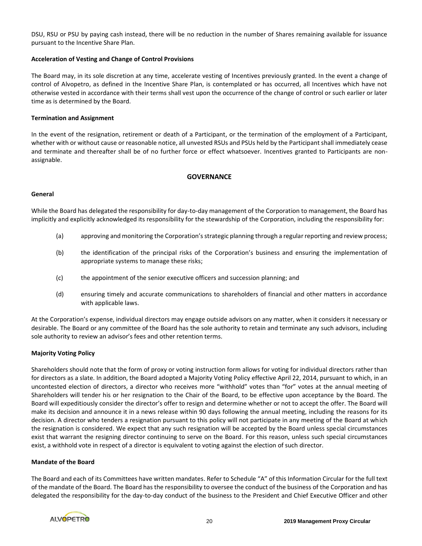DSU, RSU or PSU by paying cash instead, there will be no reduction in the number of Shares remaining available for issuance pursuant to the Incentive Share Plan.

### **Acceleration of Vesting and Change of Control Provisions**

The Board may, in its sole discretion at any time, accelerate vesting of Incentives previously granted. In the event a change of control of Alvopetro, as defined in the Incentive Share Plan, is contemplated or has occurred, all Incentives which have not otherwise vested in accordance with their terms shall vest upon the occurrence of the change of control or such earlier or later time as is determined by the Board.

#### **Termination and Assignment**

In the event of the resignation, retirement or death of a Participant, or the termination of the employment of a Participant, whether with or without cause or reasonable notice, all unvested RSUs and PSUs held by the Participant shall immediately cease and terminate and thereafter shall be of no further force or effect whatsoever. Incentives granted to Participants are nonassignable.

### **GOVERNANCE**

#### **General**

While the Board has delegated the responsibility for day-to-day management of the Corporation to management, the Board has implicitly and explicitly acknowledged its responsibility for the stewardship of the Corporation, including the responsibility for:

- (a) approving and monitoring the Corporation's strategic planning through a regular reporting and review process;
- (b) the identification of the principal risks of the Corporation's business and ensuring the implementation of appropriate systems to manage these risks;
- (c) the appointment of the senior executive officers and succession planning; and
- (d) ensuring timely and accurate communications to shareholders of financial and other matters in accordance with applicable laws.

At the Corporation's expense, individual directors may engage outside advisors on any matter, when it considers it necessary or desirable. The Board or any committee of the Board has the sole authority to retain and terminate any such advisors, including sole authority to review an advisor's fees and other retention terms.

#### **Majority Voting Policy**

Shareholders should note that the form of proxy or voting instruction form allows for voting for individual directors rather than for directors as a slate. In addition, the Board adopted a Majority Voting Policy effective April 22, 2014, pursuant to which, in an uncontested election of directors, a director who receives more "withhold" votes than "for" votes at the annual meeting of Shareholders will tender his or her resignation to the Chair of the Board, to be effective upon acceptance by the Board. The Board will expeditiously consider the director's offer to resign and determine whether or not to accept the offer. The Board will make its decision and announce it in a news release within 90 days following the annual meeting, including the reasons for its decision. A director who tenders a resignation pursuant to this policy will not participate in any meeting of the Board at which the resignation is considered. We expect that any such resignation will be accepted by the Board unless special circumstances exist that warrant the resigning director continuing to serve on the Board. For this reason, unless such special circumstances exist, a withhold vote in respect of a director is equivalent to voting against the election of such director.

#### **Mandate of the Board**

The Board and each of its Committees have written mandates. Refer to Schedule "A" of this Information Circular for the full text of the mandate of the Board. The Board has the responsibility to oversee the conduct of the business of the Corporation and has delegated the responsibility for the day-to-day conduct of the business to the President and Chief Executive Officer and other

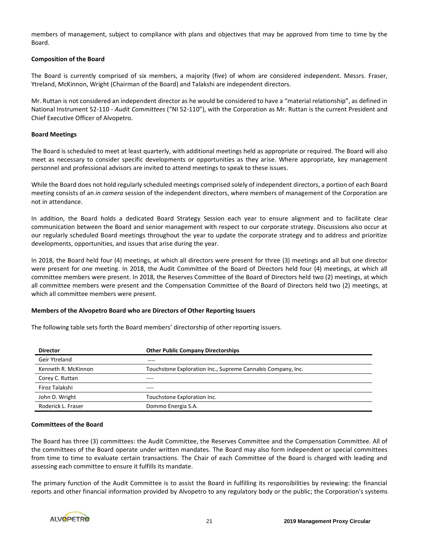members of management, subject to compliance with plans and objectives that may be approved from time to time by the Board.

### **Composition of the Board**

The Board is currently comprised of six members, a majority (five) of whom are considered independent. Messrs. Fraser, Ytreland, McKinnon, Wright (Chairman of the Board) and Talakshi are independent directors.

Mr. Ruttan is not considered an independent director as he would be considered to have a "material relationship", as defined in National Instrument 52-110 - *Audit Committees* ("NI 52-110"), with the Corporation as Mr. Ruttan is the current President and Chief Executive Officer of Alvopetro.

#### **Board Meetings**

The Board is scheduled to meet at least quarterly, with additional meetings held as appropriate or required. The Board will also meet as necessary to consider specific developments or opportunities as they arise. Where appropriate, key management personnel and professional advisors are invited to attend meetings to speak to these issues.

While the Board does not hold regularly scheduled meetings comprised solely of independent directors, a portion of each Board meeting consists of an *in camera* session of the independent directors, where members of management of the Corporation are not in attendance.

In addition, the Board holds a dedicated Board Strategy Session each year to ensure alignment and to facilitate clear communication between the Board and senior management with respect to our corporate strategy. Discussions also occur at our regularly scheduled Board meetings throughout the year to update the corporate strategy and to address and prioritize developments, opportunities, and issues that arise during the year.

In 2018, the Board held four (4) meetings, at which all directors were present for three (3) meetings and all but one director were present for one meeting. In 2018, the Audit Committee of the Board of Directors held four (4) meetings, at which all committee members were present. In 2018, the Reserves Committee of the Board of Directors held two (2) meetings, at which all committee members were present and the Compensation Committee of the Board of Directors held two (2) meetings, at which all committee members were present.

#### **Members of the Alvopetro Board who are Directors of Other Reporting Issuers**

| <b>Director</b>     | <b>Other Public Company Directorships</b>                   |  |
|---------------------|-------------------------------------------------------------|--|
| Geir Ytreland       | ----                                                        |  |
| Kenneth R. McKinnon | Touchstone Exploration Inc., Supreme Cannabis Company, Inc. |  |
| Corey C. Ruttan     | ----                                                        |  |
| Firoz Talakshi      | ----                                                        |  |
| John D. Wright      | Touchstone Exploration Inc.                                 |  |
| Roderick L. Fraser  | Dommo Energia S.A.                                          |  |

The following table sets forth the Board members' directorship of other reporting issuers.

# **Committees of the Board**

The Board has three (3) committees: the Audit Committee, the Reserves Committee and the Compensation Committee. All of the committees of the Board operate under written mandates. The Board may also form independent or special committees from time to time to evaluate certain transactions. The Chair of each Committee of the Board is charged with leading and assessing each committee to ensure it fulfills its mandate.

The primary function of the Audit Committee is to assist the Board in fulfilling its responsibilities by reviewing: the financial reports and other financial information provided by Alvopetro to any regulatory body or the public; the Corporation's systems

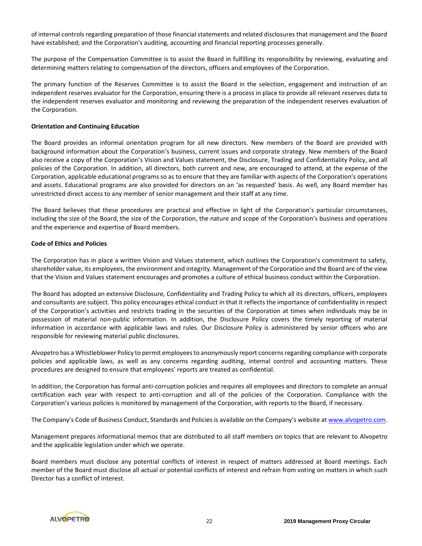of internal controls regarding preparation of those financial statements and related disclosures that management and the Board have established; and the Corporation's auditing, accounting and financial reporting processes generally.

The purpose of the Compensation Committee is to assist the Board in fulfilling its responsibility by reviewing, evaluating and determining matters relating to compensation of the directors, officers and employees of the Corporation.

The primary function of the Reserves Committee is to assist the Board in the selection, engagement and instruction of an independent reserves evaluator for the Corporation, ensuring there is a process in place to provide all relevant reserves data to the independent reserves evaluator and monitoring and reviewing the preparation of the independent reserves evaluation of the Corporation.

#### **Orientation and Continuing Education**

The Board provides an informal orientation program for all new directors. New members of the Board are provided with background information about the Corporation's business, current issues and corporate strategy. New members of the Board also receive a copy of the Corporation's Vision and Values statement, the Disclosure, Trading and Confidentiality Policy, and all policies of the Corporation. In addition, all directors, both current and new, are encouraged to attend, at the expense of the Corporation, applicable educational programs so as to ensure that they are familiar with aspects of the Corporation's operations and assets. Educational programs are also provided for directors on an 'as requested' basis. As well, any Board member has unrestricted direct access to any member of senior management and their staff at any time.

The Board believes that these procedures are practical and effective in light of the Corporation's particular circumstances, including the size of the Board, the size of the Corporation, the nature and scope of the Corporation's business and operations and the experience and expertise of Board members.

### **Code of Ethics and Policies**

The Corporation has in place a written Vision and Values statement, which outlines the Corporation's commitment to safety, shareholder value, its employees, the environment and integrity. Management of the Corporation and the Board are of the view that the Vision and Values statement encourages and promotes a culture of ethical business conduct within the Corporation.

The Board has adopted an extensive Disclosure, Confidentiality and Trading Policy to which all its directors, officers, employees and consultants are subject. This policy encourages ethical conduct in that it reflects the importance of confidentiality in respect of the Corporation's activities and restricts trading in the securities of the Corporation at times when individuals may be in possession of material non-public information. In addition, the Disclosure Policy covers the timely reporting of material information in accordance with applicable laws and rules. Our Disclosure Policy is administered by senior officers who are responsible for reviewing material public disclosures.

Alvopetro has a Whistleblower Policy to permit employees to anonymously report concerns regarding compliance with corporate policies and applicable laws, as well as any concerns regarding auditing, internal control and accounting matters. These procedures are designed to ensure that employees' reports are treated as confidential.

In addition, the Corporation has formal anti-corruption policies and requires all employees and directors to complete an annual certification each year with respect to anti-corruption and all of the policies of the Corporation. Compliance with the Corporation's various policies is monitored by management of the Corporation, with reports to the Board, if necessary.

The Company's Code of Business Conduct, Standards and Policies is available on the Company's website at [www.alvopetro.com.](http://www.alvopetro.com/)

Management prepares informational memos that are distributed to all staff members on topics that are relevant to Alvopetro and the applicable legislation under which we operate.

Board members must disclose any potential conflicts of interest in respect of matters addressed at Board meetings. Each member of the Board must disclose all actual or potential conflicts of interest and refrain from voting on matters in which such Director has a conflict of interest.

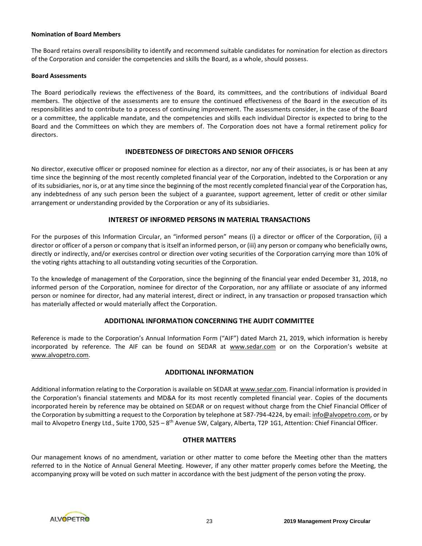#### **Nomination of Board Members**

The Board retains overall responsibility to identify and recommend suitable candidates for nomination for election as directors of the Corporation and consider the competencies and skills the Board, as a whole, should possess.

### **Board Assessments**

The Board periodically reviews the effectiveness of the Board, its committees, and the contributions of individual Board members. The objective of the assessments are to ensure the continued effectiveness of the Board in the execution of its responsibilities and to contribute to a process of continuing improvement. The assessments consider, in the case of the Board or a committee, the applicable mandate, and the competencies and skills each individual Director is expected to bring to the Board and the Committees on which they are members of. The Corporation does not have a formal retirement policy for directors.

### **INDEBTEDNESS OF DIRECTORS AND SENIOR OFFICERS**

No director, executive officer or proposed nominee for election as a director, nor any of their associates, is or has been at any time since the beginning of the most recently completed financial year of the Corporation, indebted to the Corporation or any of its subsidiaries, nor is, or at any time since the beginning of the most recently completed financial year of the Corporation has, any indebtedness of any such person been the subject of a guarantee, support agreement, letter of credit or other similar arrangement or understanding provided by the Corporation or any of its subsidiaries.

### **INTEREST OF INFORMED PERSONS IN MATERIAL TRANSACTIONS**

For the purposes of this Information Circular, an "informed person" means (i) a director or officer of the Corporation, (ii) a director or officer of a person or company that is itself an informed person, or (iii) any person or company who beneficially owns, directly or indirectly, and/or exercises control or direction over voting securities of the Corporation carrying more than 10% of the voting rights attaching to all outstanding voting securities of the Corporation.

To the knowledge of management of the Corporation, since the beginning of the financial year ended December 31, 2018, no informed person of the Corporation, nominee for director of the Corporation, nor any affiliate or associate of any informed person or nominee for director, had any material interest, direct or indirect, in any transaction or proposed transaction which has materially affected or would materially affect the Corporation.

### **ADDITIONAL INFORMATION CONCERNING THE AUDIT COMMITTEE**

Reference is made to the Corporation's Annual Information Form ("AIF") dated March 21, 2019, which information is hereby incorporated by reference. The AIF can be found on SEDAR at www.sedar.com or on the Corporation's website at www.alvopetro.com.

### **ADDITIONAL INFORMATION**

Additional information relating to the Corporation is available on SEDAR at www.sedar.com. Financial information is provided in the Corporation's financial statements and MD&A for its most recently completed financial year. Copies of the documents incorporated herein by reference may be obtained on SEDAR or on request without charge from the Chief Financial Officer of the Corporation by submitting a request to the Corporation by telephone at 587-794-4224, by email: info@alvopetro.com, or by mail to Alvopetro Energy Ltd., Suite 1700, 525 – 8<sup>th</sup> Avenue SW, Calgary, Alberta, T2P 1G1, Attention: Chief Financial Officer.

### **OTHER MATTERS**

Our management knows of no amendment, variation or other matter to come before the Meeting other than the matters referred to in the Notice of Annual General Meeting. However, if any other matter properly comes before the Meeting, the accompanying proxy will be voted on such matter in accordance with the best judgment of the person voting the proxy.

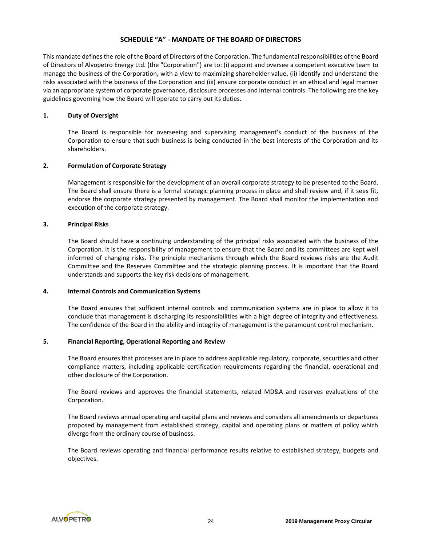# **SCHEDULE "A" - MANDATE OF THE BOARD OF DIRECTORS**

This mandate defines the role of the Board of Directors of the Corporation. The fundamental responsibilities of the Board of Directors of Alvopetro Energy Ltd. (the "Corporation") are to: (i) appoint and oversee a competent executive team to manage the business of the Corporation, with a view to maximizing shareholder value, (ii) identify and understand the risks associated with the business of the Corporation and (iii) ensure corporate conduct in an ethical and legal manner via an appropriate system of corporate governance, disclosure processes and internal controls. The following are the key guidelines governing how the Board will operate to carry out its duties.

### **1. Duty of Oversight**

The Board is responsible for overseeing and supervising management's conduct of the business of the Corporation to ensure that such business is being conducted in the best interests of the Corporation and its shareholders.

### **2. Formulation of Corporate Strategy**

Management is responsible for the development of an overall corporate strategy to be presented to the Board. The Board shall ensure there is a formal strategic planning process in place and shall review and, if it sees fit, endorse the corporate strategy presented by management. The Board shall monitor the implementation and execution of the corporate strategy.

### **3. Principal Risks**

The Board should have a continuing understanding of the principal risks associated with the business of the Corporation. It is the responsibility of management to ensure that the Board and its committees are kept well informed of changing risks. The principle mechanisms through which the Board reviews risks are the Audit Committee and the Reserves Committee and the strategic planning process. It is important that the Board understands and supports the key risk decisions of management.

#### **4. Internal Controls and Communication Systems**

The Board ensures that sufficient internal controls and communication systems are in place to allow it to conclude that management is discharging its responsibilities with a high degree of integrity and effectiveness. The confidence of the Board in the ability and integrity of management is the paramount control mechanism.

### **5. Financial Reporting, Operational Reporting and Review**

The Board ensures that processes are in place to address applicable regulatory, corporate, securities and other compliance matters, including applicable certification requirements regarding the financial, operational and other disclosure of the Corporation.

The Board reviews and approves the financial statements, related MD&A and reserves evaluations of the Corporation.

The Board reviews annual operating and capital plans and reviews and considers all amendments or departures proposed by management from established strategy, capital and operating plans or matters of policy which diverge from the ordinary course of business.

The Board reviews operating and financial performance results relative to established strategy, budgets and objectives.

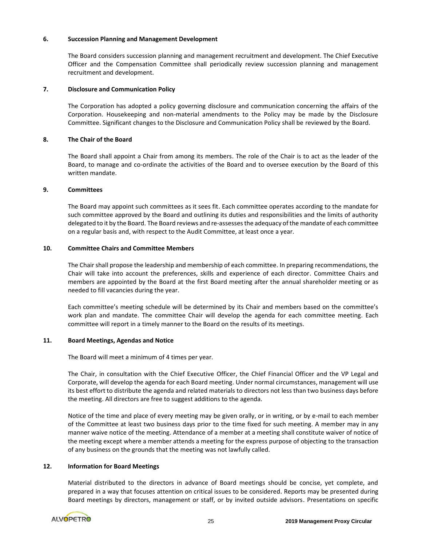### **6. Succession Planning and Management Development**

The Board considers succession planning and management recruitment and development. The Chief Executive Officer and the Compensation Committee shall periodically review succession planning and management recruitment and development.

### **7. Disclosure and Communication Policy**

The Corporation has adopted a policy governing disclosure and communication concerning the affairs of the Corporation. Housekeeping and non-material amendments to the Policy may be made by the Disclosure Committee. Significant changes to the Disclosure and Communication Policy shall be reviewed by the Board.

### **8. The Chair of the Board**

The Board shall appoint a Chair from among its members. The role of the Chair is to act as the leader of the Board, to manage and co-ordinate the activities of the Board and to oversee execution by the Board of this written mandate.

### **9. Committees**

The Board may appoint such committees as it sees fit. Each committee operates according to the mandate for such committee approved by the Board and outlining its duties and responsibilities and the limits of authority delegated to it by the Board. The Board reviews and re-assesses the adequacy of the mandate of each committee on a regular basis and, with respect to the Audit Committee, at least once a year.

### **10. Committee Chairs and Committee Members**

The Chair shall propose the leadership and membership of each committee. In preparing recommendations, the Chair will take into account the preferences, skills and experience of each director. Committee Chairs and members are appointed by the Board at the first Board meeting after the annual shareholder meeting or as needed to fill vacancies during the year.

Each committee's meeting schedule will be determined by its Chair and members based on the committee's work plan and mandate. The committee Chair will develop the agenda for each committee meeting. Each committee will report in a timely manner to the Board on the results of its meetings.

#### **11. Board Meetings, Agendas and Notice**

The Board will meet a minimum of 4 times per year.

The Chair, in consultation with the Chief Executive Officer, the Chief Financial Officer and the VP Legal and Corporate, will develop the agenda for each Board meeting. Under normal circumstances, management will use its best effort to distribute the agenda and related materials to directors not less than two business days before the meeting. All directors are free to suggest additions to the agenda.

Notice of the time and place of every meeting may be given orally, or in writing, or by e-mail to each member of the Committee at least two business days prior to the time fixed for such meeting. A member may in any manner waive notice of the meeting. Attendance of a member at a meeting shall constitute waiver of notice of the meeting except where a member attends a meeting for the express purpose of objecting to the transaction of any business on the grounds that the meeting was not lawfully called.

### **12. Information for Board Meetings**

Material distributed to the directors in advance of Board meetings should be concise, yet complete, and prepared in a way that focuses attention on critical issues to be considered. Reports may be presented during Board meetings by directors, management or staff, or by invited outside advisors. Presentations on specific

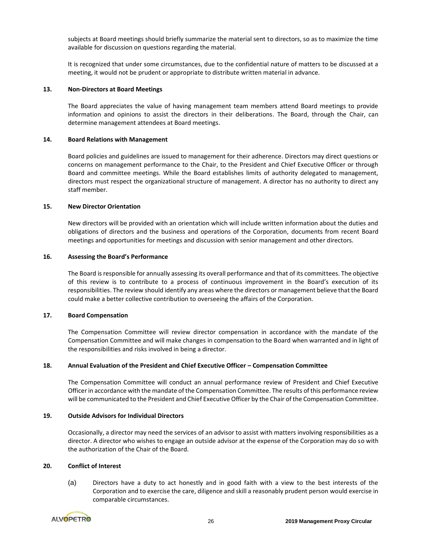subjects at Board meetings should briefly summarize the material sent to directors, so as to maximize the time available for discussion on questions regarding the material.

It is recognized that under some circumstances, due to the confidential nature of matters to be discussed at a meeting, it would not be prudent or appropriate to distribute written material in advance.

#### **13. Non-Directors at Board Meetings**

The Board appreciates the value of having management team members attend Board meetings to provide information and opinions to assist the directors in their deliberations. The Board, through the Chair, can determine management attendees at Board meetings.

### **14. Board Relations with Management**

Board policies and guidelines are issued to management for their adherence. Directors may direct questions or concerns on management performance to the Chair, to the President and Chief Executive Officer or through Board and committee meetings. While the Board establishes limits of authority delegated to management, directors must respect the organizational structure of management. A director has no authority to direct any staff member.

### **15. New Director Orientation**

New directors will be provided with an orientation which will include written information about the duties and obligations of directors and the business and operations of the Corporation, documents from recent Board meetings and opportunities for meetings and discussion with senior management and other directors.

### **16. Assessing the Board's Performance**

The Board is responsible for annually assessing its overall performance and that of its committees. The objective of this review is to contribute to a process of continuous improvement in the Board's execution of its responsibilities. The review should identify any areas where the directors or management believe that the Board could make a better collective contribution to overseeing the affairs of the Corporation.

### **17. Board Compensation**

The Compensation Committee will review director compensation in accordance with the mandate of the Compensation Committee and will make changes in compensation to the Board when warranted and in light of the responsibilities and risks involved in being a director.

### **18. Annual Evaluation of the President and Chief Executive Officer – Compensation Committee**

The Compensation Committee will conduct an annual performance review of President and Chief Executive Officer in accordance with the mandate of the Compensation Committee. The results of this performance review will be communicated to the President and Chief Executive Officer by the Chair of the Compensation Committee.

### **19. Outside Advisors for Individual Directors**

Occasionally, a director may need the services of an advisor to assist with matters involving responsibilities as a director. A director who wishes to engage an outside advisor at the expense of the Corporation may do so with the authorization of the Chair of the Board.

### **20. Conflict of Interest**

(a) Directors have a duty to act honestly and in good faith with a view to the best interests of the Corporation and to exercise the care, diligence and skill a reasonably prudent person would exercise in comparable circumstances.

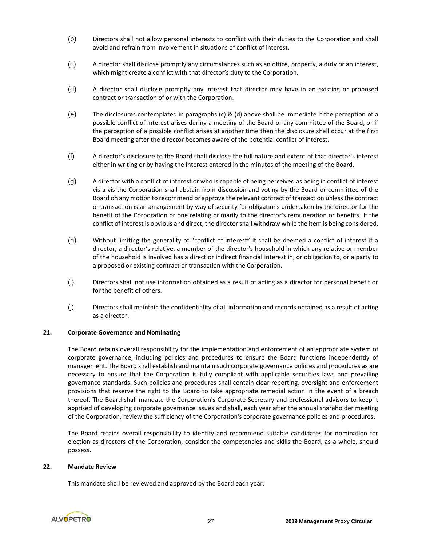- (b) Directors shall not allow personal interests to conflict with their duties to the Corporation and shall avoid and refrain from involvement in situations of conflict of interest.
- (c) A director shall disclose promptly any circumstances such as an office, property, a duty or an interest, which might create a conflict with that director's duty to the Corporation.
- (d) A director shall disclose promptly any interest that director may have in an existing or proposed contract or transaction of or with the Corporation.
- (e) The disclosures contemplated in paragraphs (c) & (d) above shall be immediate if the perception of a possible conflict of interest arises during a meeting of the Board or any committee of the Board, or if the perception of a possible conflict arises at another time then the disclosure shall occur at the first Board meeting after the director becomes aware of the potential conflict of interest.
- (f) A director's disclosure to the Board shall disclose the full nature and extent of that director's interest either in writing or by having the interest entered in the minutes of the meeting of the Board.
- (g) A director with a conflict of interest or who is capable of being perceived as being in conflict of interest vis a vis the Corporation shall abstain from discussion and voting by the Board or committee of the Board on any motion to recommend or approve the relevant contract of transaction unless the contract or transaction is an arrangement by way of security for obligations undertaken by the director for the benefit of the Corporation or one relating primarily to the director's remuneration or benefits. If the conflict of interest is obvious and direct, the director shall withdraw while the item is being considered.
- (h) Without limiting the generality of "conflict of interest" it shall be deemed a conflict of interest if a director, a director's relative, a member of the director's household in which any relative or member of the household is involved has a direct or indirect financial interest in, or obligation to, or a party to a proposed or existing contract or transaction with the Corporation.
- (i) Directors shall not use information obtained as a result of acting as a director for personal benefit or for the benefit of others.
- (j) Directors shall maintain the confidentiality of all information and records obtained as a result of acting as a director.

### **21. Corporate Governance and Nominating**

The Board retains overall responsibility for the implementation and enforcement of an appropriate system of corporate governance, including policies and procedures to ensure the Board functions independently of management. The Board shall establish and maintain such corporate governance policies and procedures as are necessary to ensure that the Corporation is fully compliant with applicable securities laws and prevailing governance standards. Such policies and procedures shall contain clear reporting, oversight and enforcement provisions that reserve the right to the Board to take appropriate remedial action in the event of a breach thereof. The Board shall mandate the Corporation's Corporate Secretary and professional advisors to keep it apprised of developing corporate governance issues and shall, each year after the annual shareholder meeting of the Corporation, review the sufficiency of the Corporation's corporate governance policies and procedures.

The Board retains overall responsibility to identify and recommend suitable candidates for nomination for election as directors of the Corporation, consider the competencies and skills the Board, as a whole, should possess.

#### **22. Mandate Review**

This mandate shall be reviewed and approved by the Board each year.

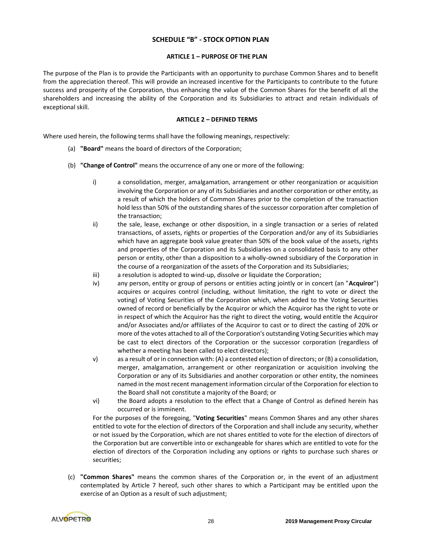# **SCHEDULE "B" - STOCK OPTION PLAN**

#### **ARTICLE 1 – PURPOSE OF THE PLAN**

The purpose of the Plan is to provide the Participants with an opportunity to purchase Common Shares and to benefit from the appreciation thereof. This will provide an increased incentive for the Participants to contribute to the future success and prosperity of the Corporation, thus enhancing the value of the Common Shares for the benefit of all the shareholders and increasing the ability of the Corporation and its Subsidiaries to attract and retain individuals of exceptional skill.

### **ARTICLE 2 – DEFINED TERMS**

Where used herein, the following terms shall have the following meanings, respectively:

- (a) **"Board"** means the board of directors of the Corporation;
- (b) **"Change of Control"** means the occurrence of any one or more of the following:
	- i) a consolidation, merger, amalgamation, arrangement or other reorganization or acquisition involving the Corporation or any of its Subsidiaries and another corporation or other entity, as a result of which the holders of Common Shares prior to the completion of the transaction hold less than 50% of the outstanding shares of the successor corporation after completion of the transaction;
	- ii) the sale, lease, exchange or other disposition, in a single transaction or a series of related transactions, of assets, rights or properties of the Corporation and/or any of its Subsidiaries which have an aggregate book value greater than 50% of the book value of the assets, rights and properties of the Corporation and its Subsidiaries on a consolidated basis to any other person or entity, other than a disposition to a wholly-owned subsidiary of the Corporation in the course of a reorganization of the assets of the Corporation and its Subsidiaries;
	- iii) a resolution is adopted to wind-up, dissolve or liquidate the Corporation;
	- iv) any person, entity or group of persons or entities acting jointly or in concert (an "**Acquiror**") acquires or acquires control (including, without limitation, the right to vote or direct the voting) of Voting Securities of the Corporation which, when added to the Voting Securities owned of record or beneficially by the Acquiror or which the Acquiror has the right to vote or in respect of which the Acquiror has the right to direct the voting, would entitle the Acquiror and/or Associates and/or affiliates of the Acquiror to cast or to direct the casting of 20% or more of the votes attached to all of the Corporation's outstanding Voting Securities which may be cast to elect directors of the Corporation or the successor corporation (regardless of whether a meeting has been called to elect directors);
	- v) as a result of or in connection with: (A) a contested election of directors; or (B) a consolidation, merger, amalgamation, arrangement or other reorganization or acquisition involving the Corporation or any of its Subsidiaries and another corporation or other entity, the nominees named in the most recent management information circular of the Corporation for election to the Board shall not constitute a majority of the Board; or
	- vi) the Board adopts a resolution to the effect that a Change of Control as defined herein has occurred or is imminent.

For the purposes of the foregoing, "**Voting Securities**" means Common Shares and any other shares entitled to vote for the election of directors of the Corporation and shall include any security, whether or not issued by the Corporation, which are not shares entitled to vote for the election of directors of the Corporation but are convertible into or exchangeable for shares which are entitled to vote for the election of directors of the Corporation including any options or rights to purchase such shares or securities;

(c) **"Common Shares"** means the common shares of the Corporation or, in the event of an adjustment contemplated by Article 7 hereof, such other shares to which a Participant may be entitled upon the exercise of an Option as a result of such adjustment;

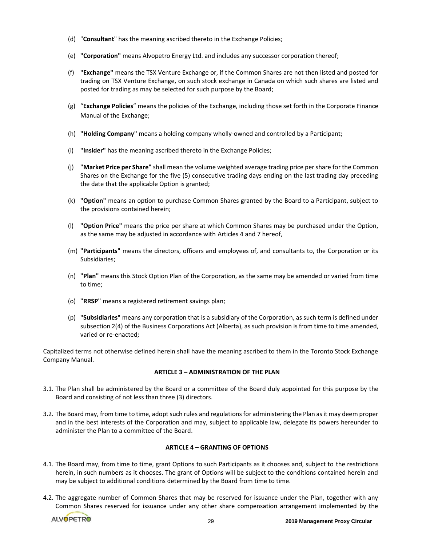- (d) "**Consultant**" has the meaning ascribed thereto in the Exchange Policies;
- (e) **"Corporation"** means Alvopetro Energy Ltd. and includes any successor corporation thereof;
- (f) **"Exchange"** means the TSX Venture Exchange or, if the Common Shares are not then listed and posted for trading on TSX Venture Exchange, on such stock exchange in Canada on which such shares are listed and posted for trading as may be selected for such purpose by the Board;
- (g) "**Exchange Policies**" means the policies of the Exchange, including those set forth in the Corporate Finance Manual of the Exchange;
- (h) **"Holding Company"** means a holding company wholly-owned and controlled by a Participant;
- (i) **"Insider"** has the meaning ascribed thereto in the Exchange Policies;
- (j) **"Market Price per Share"** shall mean the volume weighted average trading price per share for the Common Shares on the Exchange for the five (5) consecutive trading days ending on the last trading day preceding the date that the applicable Option is granted;
- (k) **"Option"** means an option to purchase Common Shares granted by the Board to a Participant, subject to the provisions contained herein;
- (l) **"Option Price"** means the price per share at which Common Shares may be purchased under the Option, as the same may be adjusted in accordance with Articles 4 and 7 hereof,
- (m) **"Participants"** means the directors, officers and employees of, and consultants to, the Corporation or its Subsidiaries;
- (n) **"Plan"** means this Stock Option Plan of the Corporation, as the same may be amended or varied from time to time;
- (o) **"RRSP"** means a registered retirement savings plan;
- (p) **"Subsidiaries"** means any corporation that is a subsidiary of the Corporation, as such term is defined under subsection 2(4) of the Business Corporations Act (Alberta), as such provision is from time to time amended, varied or re-enacted;

Capitalized terms not otherwise defined herein shall have the meaning ascribed to them in the Toronto Stock Exchange Company Manual.

### **ARTICLE 3 – ADMINISTRATION OF THE PLAN**

- 3.1. The Plan shall be administered by the Board or a committee of the Board duly appointed for this purpose by the Board and consisting of not less than three (3) directors.
- 3.2. The Board may, from time to time, adopt such rules and regulations for administering the Plan as it may deem proper and in the best interests of the Corporation and may, subject to applicable law, delegate its powers hereunder to administer the Plan to a committee of the Board.

#### **ARTICLE 4 – GRANTING OF OPTIONS**

- 4.1. The Board may, from time to time, grant Options to such Participants as it chooses and, subject to the restrictions herein, in such numbers as it chooses. The grant of Options will be subject to the conditions contained herein and may be subject to additional conditions determined by the Board from time to time.
- 4.2. The aggregate number of Common Shares that may be reserved for issuance under the Plan, together with any Common Shares reserved for issuance under any other share compensation arrangement implemented by the

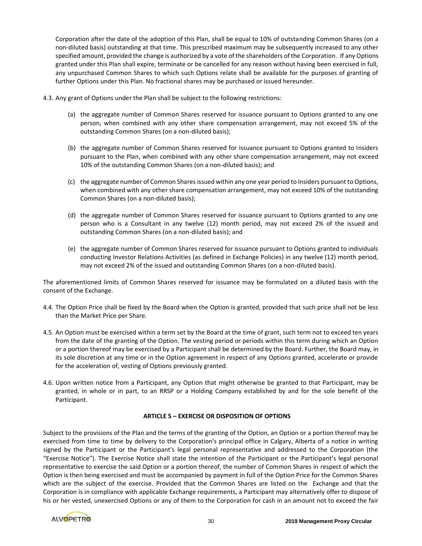Corporation after the date of the adoption of this Plan, shall be equal to 10% of outstanding Common Shares (on a non-diluted basis) outstanding at that time. This prescribed maximum may be subsequently increased to any other specified amount, provided the change is authorized by a vote of the shareholders of the Corporation. If any Options granted under this Plan shall expire, terminate or be cancelled for any reason without having been exercised in full, any unpurchased Common Shares to which such Options relate shall be available for the purposes of granting of further Options under this Plan. No fractional shares may be purchased or issued hereunder.

- 4.3. Any grant of Options under the Plan shall be subject to the following restrictions:
	- (a) the aggregate number of Common Shares reserved for issuance pursuant to Options granted to any one person, when combined with any other share compensation arrangement, may not exceed 5% of the outstanding Common Shares (on a non-diluted basis);
	- (b) the aggregate number of Common Shares reserved for issuance pursuant to Options granted to Insiders pursuant to the Plan, when combined with any other share compensation arrangement, may not exceed 10% of the outstanding Common Shares (on a non-diluted basis); and
	- (c) the aggregate number of Common Shares issued within any one year period to Insiders pursuant to Options, when combined with any other share compensation arrangement, may not exceed 10% of the outstanding Common Shares (on a non-diluted basis);
	- (d) the aggregate number of Common Shares reserved for issuance pursuant to Options granted to any one person who is a Consultant in any twelve (12) month period, may not exceed 2% of the issued and outstanding Common Shares (on a non-diluted basis); and
	- (e) the aggregate number of Common Shares reserved for issuance pursuant to Options granted to individuals conducting Investor Relations Activities (as defined in Exchange Policies) in any twelve (12) month period, may not exceed 2% of the issued and outstanding Common Shares (on a non-diluted basis).

The aforementioned limits of Common Shares reserved for issuance may be formulated on a diluted basis with the consent of the Exchange.

- 4.4. The Option Price shall be fixed by the Board when the Option is granted, provided that such price shall not be less than the Market Price per Share.
- 4.5. An Option must be exercised within a term set by the Board at the time of grant, such term not to exceed ten years from the date of the granting of the Option. The vesting period or periods within this term during which an Option or a portion thereof may be exercised by a Participant shall be determined by the Board. Further, the Board may, in its sole discretion at any time or in the Option agreement in respect of any Options granted, accelerate or provide for the acceleration of, vesting of Options previously granted.
- 4.6. Upon written notice from a Participant, any Option that might otherwise be granted to that Participant, may be granted, in whole or in part, to an RRSP or a Holding Company established by and for the sole benefit of the Participant.

### **ARTICLE 5 – EXERCISE OR DISPOSITION OF OPTIONS**

Subject to the provisions of the Plan and the terms of the granting of the Option, an Option or a portion thereof may be exercised from time to time by delivery to the Corporation's principal office in Calgary, Alberta of a notice in writing signed by the Participant or the Participant's legal personal representative and addressed to the Corporation (the "Exercise Notice"). The Exercise Notice shall state the intention of the Participant or the Participant's legal personal representative to exercise the said Option or a portion thereof, the number of Common Shares in respect of which the Option is then being exercised and must be accompanied by payment in full of the Option Price for the Common Shares which are the subject of the exercise. Provided that the Common Shares are listed on the Exchange and that the Corporation is in compliance with applicable Exchange requirements, a Participant may alternatively offer to dispose of his or her vested, unexercised Options or any of them to the Corporation for cash in an amount not to exceed the fair

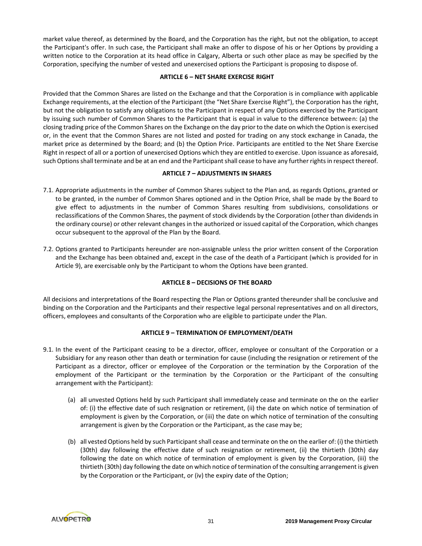market value thereof, as determined by the Board, and the Corporation has the right, but not the obligation, to accept the Participant's offer. In such case, the Participant shall make an offer to dispose of his or her Options by providing a written notice to the Corporation at its head office in Calgary, Alberta or such other place as may be specified by the Corporation, specifying the number of vested and unexercised options the Participant is proposing to dispose of.

### **ARTICLE 6 – NET SHARE EXERCISE RIGHT**

Provided that the Common Shares are listed on the Exchange and that the Corporation is in compliance with applicable Exchange requirements, at the election of the Participant (the "Net Share Exercise Right"), the Corporation has the right, but not the obligation to satisfy any obligations to the Participant in respect of any Options exercised by the Participant by issuing such number of Common Shares to the Participant that is equal in value to the difference between: (a) the closing trading price of the Common Shares on the Exchange on the day prior to the date on which the Option is exercised or, in the event that the Common Shares are not listed and posted for trading on any stock exchange in Canada, the market price as determined by the Board; and (b) the Option Price. Participants are entitled to the Net Share Exercise Right in respect of all or a portion of unexercised Options which they are entitled to exercise. Upon issuance as aforesaid, such Options shall terminate and be at an end and the Participant shall cease to have any further rights in respect thereof.

# **ARTICLE 7 – ADJUSTMENTS IN SHARES**

- 7.1. Appropriate adjustments in the number of Common Shares subject to the Plan and, as regards Options, granted or to be granted, in the number of Common Shares optioned and in the Option Price, shall be made by the Board to give effect to adjustments in the number of Common Shares resulting from subdivisions, consolidations or reclassifications of the Common Shares, the payment of stock dividends by the Corporation (other than dividends in the ordinary course) or other relevant changes in the authorized or issued capital of the Corporation, which changes occur subsequent to the approval of the Plan by the Board.
- 7.2. Options granted to Participants hereunder are non-assignable unless the prior written consent of the Corporation and the Exchange has been obtained and, except in the case of the death of a Participant (which is provided for in Article 9), are exercisable only by the Participant to whom the Options have been granted.

# **ARTICLE 8 – DECISIONS OF THE BOARD**

All decisions and interpretations of the Board respecting the Plan or Options granted thereunder shall be conclusive and binding on the Corporation and the Participants and their respective legal personal representatives and on all directors, officers, employees and consultants of the Corporation who are eligible to participate under the Plan.

### **ARTICLE 9 – TERMINATION OF EMPLOYMENT/DEATH**

- 9.1. In the event of the Participant ceasing to be a director, officer, employee or consultant of the Corporation or a Subsidiary for any reason other than death or termination for cause (including the resignation or retirement of the Participant as a director, officer or employee of the Corporation or the termination by the Corporation of the employment of the Participant or the termination by the Corporation or the Participant of the consulting arrangement with the Participant):
	- (a) all unvested Options held by such Participant shall immediately cease and terminate on the on the earlier of: (i) the effective date of such resignation or retirement, (ii) the date on which notice of termination of employment is given by the Corporation, or (iii) the date on which notice of termination of the consulting arrangement is given by the Corporation or the Participant, as the case may be;
	- (b) all vested Options held by such Participant shall cease and terminate on the on the earlier of: (i) the thirtieth (30th) day following the effective date of such resignation or retirement, (ii) the thirtieth (30th) day following the date on which notice of termination of employment is given by the Corporation, (iii) the thirtieth (30th) day following the date on which notice of termination of the consulting arrangement is given by the Corporation or the Participant, or (iv) the expiry date of the Option;

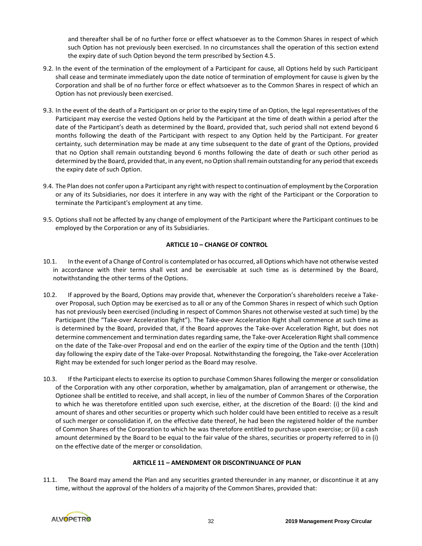and thereafter shall be of no further force or effect whatsoever as to the Common Shares in respect of which such Option has not previously been exercised. In no circumstances shall the operation of this section extend the expiry date of such Option beyond the term prescribed by Section 4.5.

- 9.2. In the event of the termination of the employment of a Participant for cause, all Options held by such Participant shall cease and terminate immediately upon the date notice of termination of employment for cause is given by the Corporation and shall be of no further force or effect whatsoever as to the Common Shares in respect of which an Option has not previously been exercised.
- 9.3. In the event of the death of a Participant on or prior to the expiry time of an Option, the legal representatives of the Participant may exercise the vested Options held by the Participant at the time of death within a period after the date of the Participant's death as determined by the Board, provided that, such period shall not extend beyond 6 months following the death of the Participant with respect to any Option held by the Participant. For greater certainty, such determination may be made at any time subsequent to the date of grant of the Options, provided that no Option shall remain outstanding beyond 6 months following the date of death or such other period as determined by the Board, provided that, in any event, no Option shall remain outstanding for any period that exceeds the expiry date of such Option.
- 9.4. The Plan does not confer upon a Participant any right with respect to continuation of employment by the Corporation or any of its Subsidiaries, nor does it interfere in any way with the right of the Participant or the Corporation to terminate the Participant's employment at any time.
- 9.5. Options shall not be affected by any change of employment of the Participant where the Participant continues to be employed by the Corporation or any of its Subsidiaries.

# **ARTICLE 10 – CHANGE OF CONTROL**

- 10.1. In the event of a Change of Control is contemplated or has occurred, all Options which have not otherwise vested in accordance with their terms shall vest and be exercisable at such time as is determined by the Board, notwithstanding the other terms of the Options.
- 10.2. If approved by the Board, Options may provide that, whenever the Corporation's shareholders receive a Takeover Proposal, such Option may be exercised as to all or any of the Common Shares in respect of which such Option has not previously been exercised (including in respect of Common Shares not otherwise vested at such time) by the Participant (the "Take-over Acceleration Right"). The Take-over Acceleration Right shall commence at such time as is determined by the Board, provided that, if the Board approves the Take-over Acceleration Right, but does not determine commencement and termination dates regarding same, the Take-over Acceleration Right shall commence on the date of the Take-over Proposal and end on the earlier of the expiry time of the Option and the tenth (10th) day following the expiry date of the Take-over Proposal. Notwithstanding the foregoing, the Take-over Acceleration Right may be extended for such longer period as the Board may resolve.
- 10.3. If the Participant elects to exercise its option to purchase Common Shares following the merger or consolidation of the Corporation with any other corporation, whether by amalgamation, plan of arrangement or otherwise, the Optionee shall be entitled to receive, and shall accept, in lieu of the number of Common Shares of the Corporation to which he was theretofore entitled upon such exercise, either, at the discretion of the Board: (i) the kind and amount of shares and other securities or property which such holder could have been entitled to receive as a result of such merger or consolidation if, on the effective date thereof, he had been the registered holder of the number of Common Shares of the Corporation to which he was theretofore entitled to purchase upon exercise; or (ii) a cash amount determined by the Board to be equal to the fair value of the shares, securities or property referred to in (i) on the effective date of the merger or consolidation.

# **ARTICLE 11 – AMENDMENT OR DISCONTINUANCE OF PLAN**

11.1. The Board may amend the Plan and any securities granted thereunder in any manner, or discontinue it at any time, without the approval of the holders of a majority of the Common Shares, provided that:

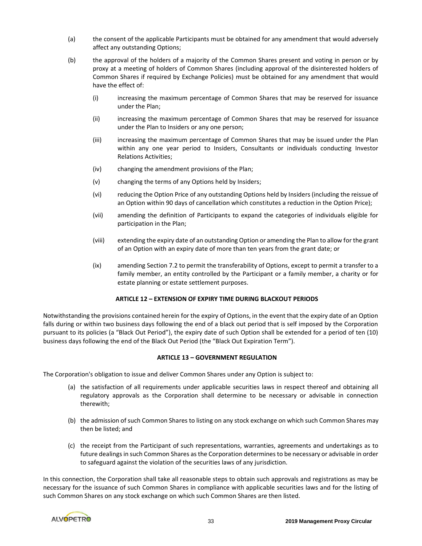- (a) the consent of the applicable Participants must be obtained for any amendment that would adversely affect any outstanding Options;
- (b) the approval of the holders of a majority of the Common Shares present and voting in person or by proxy at a meeting of holders of Common Shares (including approval of the disinterested holders of Common Shares if required by Exchange Policies) must be obtained for any amendment that would have the effect of:
	- (i) increasing the maximum percentage of Common Shares that may be reserved for issuance under the Plan;
	- (ii) increasing the maximum percentage of Common Shares that may be reserved for issuance under the Plan to Insiders or any one person;
	- (iii) increasing the maximum percentage of Common Shares that may be issued under the Plan within any one year period to Insiders, Consultants or individuals conducting Investor Relations Activities;
	- (iv) changing the amendment provisions of the Plan;
	- (v) changing the terms of any Options held by Insiders;
	- (vi) reducing the Option Price of any outstanding Options held by Insiders (including the reissue of an Option within 90 days of cancellation which constitutes a reduction in the Option Price);
	- (vii) amending the definition of Participants to expand the categories of individuals eligible for participation in the Plan;
	- (viii) extending the expiry date of an outstanding Option or amending the Plan to allow for the grant of an Option with an expiry date of more than ten years from the grant date; or
	- (ix) amending Section 7.2 to permit the transferability of Options, except to permit a transfer to a family member, an entity controlled by the Participant or a family member, a charity or for estate planning or estate settlement purposes.

### **ARTICLE 12 – EXTENSION OF EXPIRY TIME DURING BLACKOUT PERIODS**

Notwithstanding the provisions contained herein for the expiry of Options, in the event that the expiry date of an Option falls during or within two business days following the end of a black out period that is self imposed by the Corporation pursuant to its policies (a "Black Out Period"), the expiry date of such Option shall be extended for a period of ten (10) business days following the end of the Black Out Period (the "Black Out Expiration Term").

### **ARTICLE 13 – GOVERNMENT REGULATION**

The Corporation's obligation to issue and deliver Common Shares under any Option is subject to:

- (a) the satisfaction of all requirements under applicable securities laws in respect thereof and obtaining all regulatory approvals as the Corporation shall determine to be necessary or advisable in connection therewith;
- (b) the admission of such Common Shares to listing on any stock exchange on which such Common Shares may then be listed; and
- (c) the receipt from the Participant of such representations, warranties, agreements and undertakings as to future dealings in such Common Shares as the Corporation determines to be necessary or advisable in order to safeguard against the violation of the securities laws of any jurisdiction.

In this connection, the Corporation shall take all reasonable steps to obtain such approvals and registrations as may be necessary for the issuance of such Common Shares in compliance with applicable securities laws and for the listing of such Common Shares on any stock exchange on which such Common Shares are then listed.